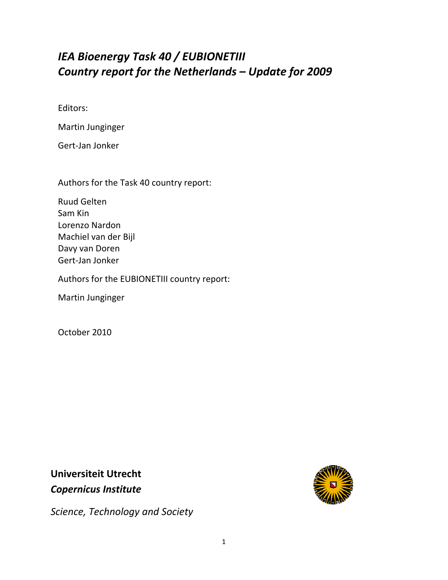# *IEA Bioenergy Task 40 / EUBIONETIII Country report for the Netherlands – Update for 2009*

Editors:

Martin Junginger

Gert‐Jan Jonker

Authors for the Task 40 country report:

Ruud Gelten Sam Kin Lorenzo Nardon Machiel van der Bijl Davy van Doren Gert‐Jan Jonker

Authors for the EUBIONETIII country report:

Martin Junginger

October 2010

**Universiteit Utrecht**  *Copernicus Institute* 



*Science, Technology and Society*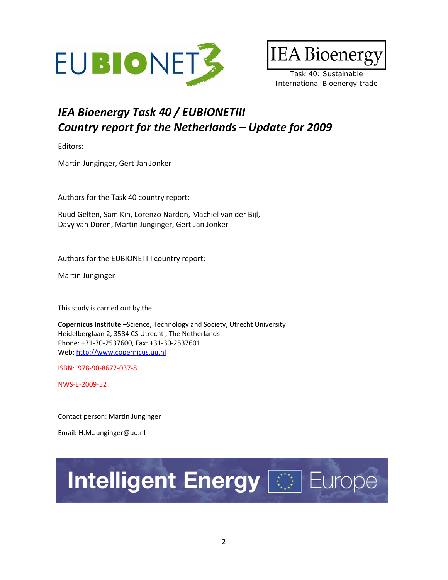



Task 40: Sustainable International Bioenergy trade

# *IEA Bioenergy Task 40 / EUBIONETIII Country report for the Netherlands – Update for 2009*

Editors:

Martin Junginger, Gert‐Jan Jonker

Authors for the Task 40 country report:

Ruud Gelten, Sam Kin, Lorenzo Nardon, Machiel van der Bijl, Davy van Doren, Martin Junginger, Gert‐Jan Jonker

Authors for the EUBIONETIII country report:

Martin Junginger

This study is carried out by the:

**Copernicus Institute** –Science, Technology and Society, Utrecht University Heidelberglaan 2, 3584 CS Utrecht , The Netherlands Phone: +31‐30‐2537600, Fax: +31‐30‐2537601 Web: http://www.copernicus.uu.nl

ISBN: 978‐90‐8672‐037‐8

NWS‐E‐2009‐52

Contact person: Martin Junginger

Email: H.M.Junginger@uu.nl

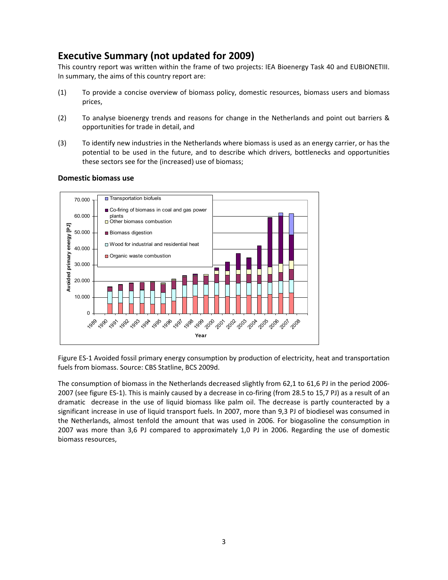## **Executive Summary (not updated for 2009)**

This country report was written within the frame of two projects: IEA Bioenergy Task 40 and EUBIONETIII. In summary, the aims of this country report are:

- (1) To provide a concise overview of biomass policy, domestic resources, biomass users and biomass prices,
- (2) To analyse bioenergy trends and reasons for change in the Netherlands and point out barriers & opportunities for trade in detail, and
- (3) To identify new industries in the Netherlands where biomass is used as an energy carrier, or has the potential to be used in the future, and to describe which drivers, bottlenecks and opportunities these sectors see for the (increased) use of biomass;



### **Domestic biomass use**

Figure ES‐1 Avoided fossil primary energy consumption by production of electricity, heat and transportation fuels from biomass. Source: CBS Statline, BCS 2009d.

The consumption of biomass in the Netherlands decreased slightly from 62,1 to 61,6 PJ in the period 2006‐ 2007 (see figure ES-1). This is mainly caused by a decrease in co-firing (from 28.5 to 15,7 PJ) as a result of an dramatic decrease in the use of liquid biomass like palm oil. The decrease is partly counteracted by a significant increase in use of liquid transport fuels. In 2007, more than 9,3 PJ of biodiesel was consumed in the Netherlands, almost tenfold the amount that was used in 2006. For biogasoline the consumption in 2007 was more than 3,6 PJ compared to approximately 1,0 PJ in 2006. Regarding the use of domestic biomass resources,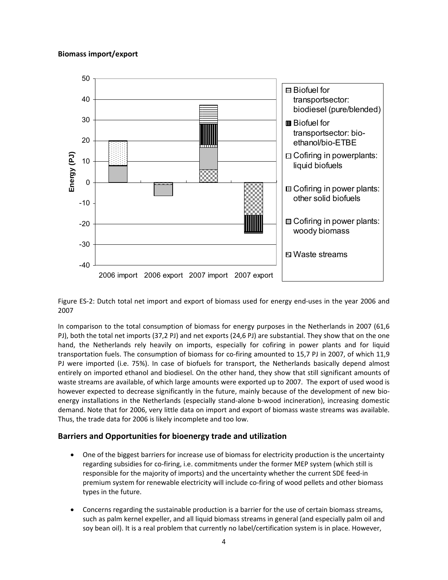

Figure ES‐2: Dutch total net import and export of biomass used for energy end‐uses in the year 2006 and 2007

In comparison to the total consumption of biomass for energy purposes in the Netherlands in 2007 (61,6 PJ), both the total net imports (37,2 PJ) and net exports (24,6 PJ) are substantial. They show that on the one hand, the Netherlands rely heavily on imports, especially for cofiring in power plants and for liquid transportation fuels. The consumption of biomass for co-firing amounted to 15,7 PJ in 2007, of which 11,9 PJ were imported (i.e. 75%). In case of biofuels for transport, the Netherlands basically depend almost entirely on imported ethanol and biodiesel. On the other hand, they show that still significant amounts of waste streams are available, of which large amounts were exported up to 2007. The export of used wood is however expected to decrease significantly in the future, mainly because of the development of new bioenergy installations in the Netherlands (especially stand-alone b-wood incineration), increasing domestic demand. Note that for 2006, very little data on import and export of biomass waste streams was available. Thus, the trade data for 2006 is likely incomplete and too low.

### **Barriers and Opportunities for bioenergy trade and utilization**

- One of the biggest barriers for increase use of biomass for electricity production is the uncertainty regarding subsidies for co-firing, i.e. commitments under the former MEP system (which still is responsible for the majority of imports) and the uncertainty whether the current SDE feed‐in premium system for renewable electricity will include co-firing of wood pellets and other biomass types in the future.
- Concerns regarding the sustainable production is a barrier for the use of certain biomass streams, such as palm kernel expeller, and all liquid biomass streams in general (and especially palm oil and soy bean oil). It is a real problem that currently no label/certification system is in place. However,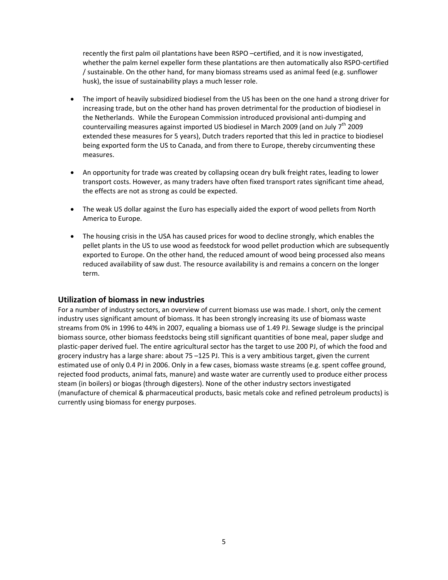recently the first palm oil plantations have been RSPO –certified, and it is now investigated, whether the palm kernel expeller form these plantations are then automatically also RSPO‐certified / sustainable. On the other hand, for many biomass streams used as animal feed (e.g. sunflower husk), the issue of sustainability plays a much lesser role.

- The import of heavily subsidized biodiesel from the US has been on the one hand a strong driver for increasing trade, but on the other hand has proven detrimental for the production of biodiesel in the Netherlands. While the European Commission introduced provisional anti-dumping and countervailing measures against imported US biodiesel in March 2009 (and on July  $7<sup>th</sup>$  2009 extended these measures for 5 years), Dutch traders reported that this led in practice to biodiesel being exported form the US to Canada, and from there to Europe, thereby circumventing these measures.
- An opportunity for trade was created by collapsing ocean dry bulk freight rates, leading to lower transport costs. However, as many traders have often fixed transport rates significant time ahead, the effects are not as strong as could be expected.
- The weak US dollar against the Euro has especially aided the export of wood pellets from North America to Europe.
- The housing crisis in the USA has caused prices for wood to decline strongly, which enables the pellet plants in the US to use wood as feedstock for wood pellet production which are subsequently exported to Europe. On the other hand, the reduced amount of wood being processed also means reduced availability of saw dust. The resource availability is and remains a concern on the longer term.

### **Utilization of biomass in new industries**

For a number of industry sectors, an overview of current biomass use was made. I short, only the cement industry uses significant amount of biomass. It has been strongly increasing its use of biomass waste streams from 0% in 1996 to 44% in 2007, equaling a biomass use of 1.49 PJ. Sewage sludge is the principal biomass source, other biomass feedstocks being still significant quantities of bone meal, paper sludge and plastic‐paper derived fuel. The entire agricultural sector has the target to use 200 PJ, of which the food and grocery industry has a large share: about 75 –125 PJ. This is a very ambitious target, given the current estimated use of only 0.4 PJ in 2006. Only in a few cases, biomass waste streams (e.g. spent coffee ground, rejected food products, animal fats, manure) and waste water are currently used to produce either process steam (in boilers) or biogas (through digesters). None of the other industry sectors investigated (manufacture of chemical & pharmaceutical products, basic metals coke and refined petroleum products) is currently using biomass for energy purposes.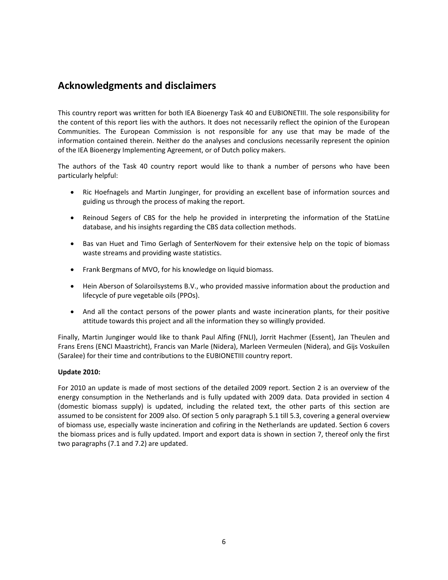## **Acknowledgments and disclaimers**

This country report was written for both IEA Bioenergy Task 40 and EUBIONETIII. The sole responsibility for the content of this report lies with the authors. It does not necessarily reflect the opinion of the European Communities. The European Commission is not responsible for any use that may be made of the information contained therein. Neither do the analyses and conclusions necessarily represent the opinion of the IEA Bioenergy Implementing Agreement, or of Dutch policy makers.

The authors of the Task 40 country report would like to thank a number of persons who have been particularly helpful:

- Ric Hoefnagels and Martin Junginger, for providing an excellent base of information sources and guiding us through the process of making the report.
- Reinoud Segers of CBS for the help he provided in interpreting the information of the StatLine database, and his insights regarding the CBS data collection methods.
- Bas van Huet and Timo Gerlagh of SenterNovem for their extensive help on the topic of biomass waste streams and providing waste statistics.
- Frank Bergmans of MVO, for his knowledge on liquid biomass.
- Hein Aberson of Solaroilsystems B.V., who provided massive information about the production and lifecycle of pure vegetable oils (PPOs).
- And all the contact persons of the power plants and waste incineration plants, for their positive attitude towards this project and all the information they so willingly provided.

Finally, Martin Junginger would like to thank Paul Alfing (FNLI), Jorrit Hachmer (Essent), Jan Theulen and Frans Erens (ENCI Maastricht), Francis van Marle (Nidera), Marleen Vermeulen (Nidera), and Gijs Voskuilen (Saralee) for their time and contributions to the EUBIONETIII country report.

### **Update 2010:**

For 2010 an update is made of most sections of the detailed 2009 report. Section 2 is an overview of the energy consumption in the Netherlands and is fully updated with 2009 data. Data provided in section 4 (domestic biomass supply) is updated, including the related text, the other parts of this section are assumed to be consistent for 2009 also. Of section 5 only paragraph 5.1 till 5.3, covering a general overview of biomass use, especially waste incineration and cofiring in the Netherlands are updated. Section 6 covers the biomass prices and is fully updated. Import and export data is shown in section 7, thereof only the first two paragraphs (7.1 and 7.2) are updated.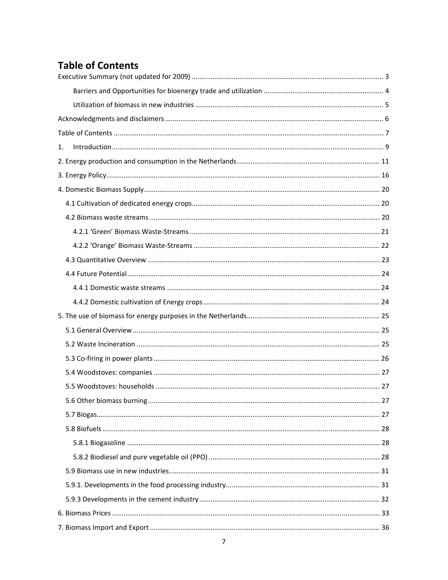# **Table of Contents**

| 1. |  |
|----|--|
|    |  |
|    |  |
|    |  |
|    |  |
|    |  |
|    |  |
|    |  |
|    |  |
|    |  |
|    |  |
|    |  |
|    |  |
|    |  |
|    |  |
|    |  |
|    |  |
|    |  |
|    |  |
|    |  |
|    |  |
|    |  |
|    |  |
|    |  |
|    |  |
|    |  |
|    |  |
|    |  |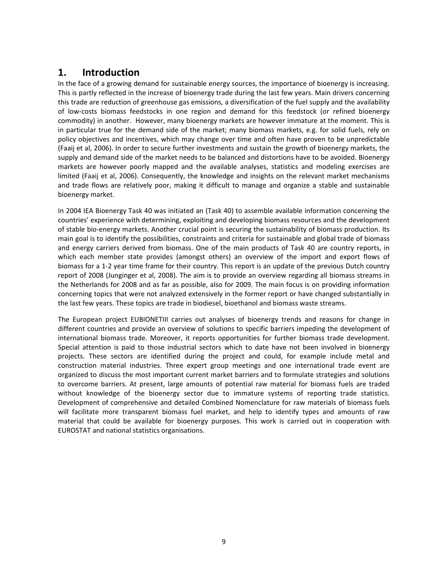## **1. Introduction**

In the face of a growing demand for sustainable energy sources, the importance of bioenergy is increasing. This is partly reflected in the increase of bioenergy trade during the last few years. Main drivers concerning this trade are reduction of greenhouse gas emissions, a diversification of the fuel supply and the availability of low‐costs biomass feedstocks in one region and demand for this feedstock (or refined bioenergy commodity) in another. However, many bioenergy markets are however immature at the moment. This is in particular true for the demand side of the market; many biomass markets, e.g. for solid fuels, rely on policy objectives and incentives, which may change over time and often have proven to be unpredictable (Faaij et al, 2006). In order to secure further investments and sustain the growth of bioenergy markets, the supply and demand side of the market needs to be balanced and distortions have to be avoided. Bioenergy markets are however poorly mapped and the available analyses, statistics and modeling exercises are limited (Faaij et al, 2006). Consequently, the knowledge and insights on the relevant market mechanisms and trade flows are relatively poor, making it difficult to manage and organize a stable and sustainable bioenergy market.

In 2004 IEA Bioenergy Task 40 was initiated an (Task 40) to assemble available information concerning the countries' experience with determining, exploiting and developing biomass resources and the development of stable bio-energy markets. Another crucial point is securing the sustainability of biomass production. Its main goal is to identify the possibilities, constraints and criteria for sustainable and global trade of biomass and energy carriers derived from biomass. One of the main products of Task 40 are country reports, in which each member state provides (amongst others) an overview of the import and export flows of biomass for a 1‐2 year time frame for their country. This report is an update of the previous Dutch country report of 2008 (Junginger et al, 2008). The aim is to provide an overview regarding all biomass streams in the Netherlands for 2008 and as far as possible, also for 2009. The main focus is on providing information concerning topics that were not analyzed extensively in the former report or have changed substantially in the last few years. These topics are trade in biodiesel, bioethanol and biomass waste streams.

The European project EUBIONETIII carries out analyses of bioenergy trends and reasons for change in different countries and provide an overview of solutions to specific barriers impeding the development of international biomass trade. Moreover, it reports opportunities for further biomass trade development. Special attention is paid to those industrial sectors which to date have not been involved in bioenergy projects. These sectors are identified during the project and could, for example include metal and construction material industries. Three expert group meetings and one international trade event are organized to discuss the most important current market barriers and to formulate strategies and solutions to overcome barriers. At present, large amounts of potential raw material for biomass fuels are traded without knowledge of the bioenergy sector due to immature systems of reporting trade statistics. Development of comprehensive and detailed Combined Nomenclature for raw materials of biomass fuels will facilitate more transparent biomass fuel market, and help to identify types and amounts of raw material that could be available for bioenergy purposes. This work is carried out in cooperation with EUROSTAT and national statistics organisations.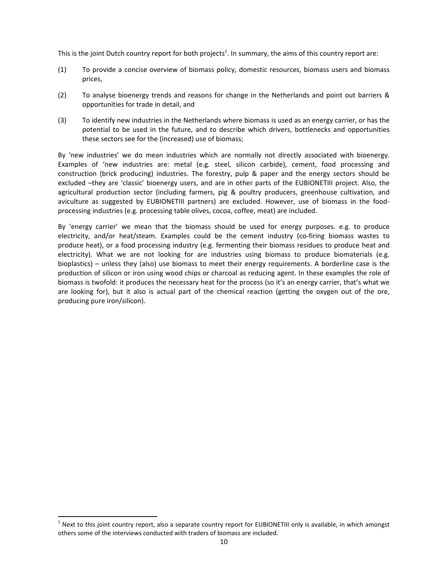This is the joint Dutch country report for both projects<sup>1</sup>. In summary, the aims of this country report are:

- (1) To provide a concise overview of biomass policy, domestic resources, biomass users and biomass prices,
- (2) To analyse bioenergy trends and reasons for change in the Netherlands and point out barriers & opportunities for trade in detail, and
- (3) To identify new industries in the Netherlands where biomass is used as an energy carrier, or has the potential to be used in the future, and to describe which drivers, bottlenecks and opportunities these sectors see for the (increased) use of biomass;

By 'new industries' we do mean industries which are normally not directly associated with bioenergy. Examples of 'new industries are: metal (e.g. steel, silicon carbide), cement, food processing and construction (brick producing) industries. The forestry, pulp & paper and the energy sectors should be excluded –they are 'classic' bioenergy users, and are in other parts of the EUBIONETIII project. Also, the agricultural production sector (including farmers, pig & poultry producers, greenhouse cultivation, and aviculture as suggested by EUBIONETIII partners) are excluded. However, use of biomass in the foodprocessing industries (e.g. processing table olives, cocoa, coffee, meat) are included.

By 'energy carrier' we mean that the biomass should be used for energy purposes. e.g. to produce electricity, and/or heat/steam. Examples could be the cement industry (co-firing biomass wastes to produce heat), or a food processing industry (e.g. fermenting their biomass residues to produce heat and electricity). What we are not looking for are industries using biomass to produce biomaterials (e.g. bioplastics) – unless they (also) use biomass to meet their energy requirements. A borderline case is the production of silicon or iron using wood chips or charcoal as reducing agent. In these examples the role of biomass is twofold: it produces the necessary heat for the process (so it's an energy carrier, that's what we are looking for), but it also is actual part of the chemical reaction (getting the oxygen out of the ore, producing pure iron/silicon).

 $<sup>1</sup>$  Next to this joint country report, also a separate country report for EUBIONETIII only is available, in which amongst</sup> others some of the interviews conducted with traders of biomass are included.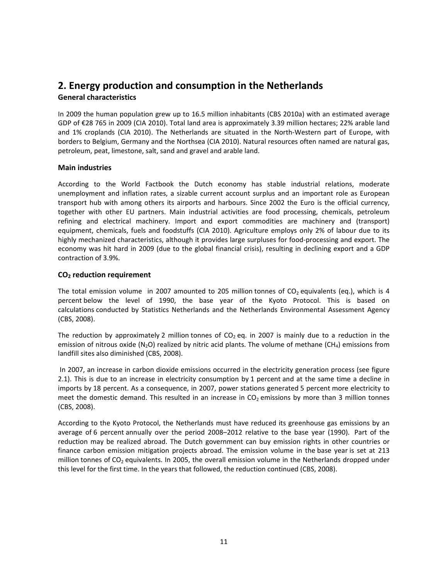## **2. Energy production and consumption in the Netherlands General characteristics**

In 2009 the human population grew up to 16.5 million inhabitants (CBS 2010a) with an estimated average GDP of €28 765 in 2009 (CIA 2010). Total land area is approximately 3.39 million hectares; 22% arable land and 1% croplands (CIA 2010). The Netherlands are situated in the North‐Western part of Europe, with borders to Belgium, Germany and the Northsea (CIA 2010). Natural resources often named are natural gas, petroleum, peat, limestone, salt, sand and gravel and arable land.

### **Main industries**

According to the World Factbook the Dutch economy has stable industrial relations, moderate unemployment and inflation rates, a sizable current account surplus and an important role as European transport hub with among others its airports and harbours. Since 2002 the Euro is the official currency, together with other EU partners. Main industrial activities are food processing, chemicals, petroleum refining and electrical machinery. Import and export commodities are machinery and (transport) equipment, chemicals, fuels and foodstuffs (CIA 2010). Agriculture employs only 2% of labour due to its highly mechanized characteristics, although it provides large surpluses for food‐processing and export. The economy was hit hard in 2009 (due to the global financial crisis), resulting in declining export and a GDP contraction of 3.9%.

### **CO2 reduction requirement**

The total emission volume in 2007 amounted to 205 million tonnes of  $CO<sub>2</sub>$  equivalents (eq.), which is 4 percent below the level of 1990, the base year of the Kyoto Protocol. This is based on calculations conducted by Statistics Netherlands and the Netherlands Environmental Assessment Agency (CBS, 2008).

The reduction by approximately 2 million tonnes of  $CO<sub>2</sub>$  eq. in 2007 is mainly due to a reduction in the emission of nitrous oxide (N<sub>2</sub>O) realized by nitric acid plants. The volume of methane (CH<sub>4</sub>) emissions from landfill sites also diminished (CBS, 2008).

In 2007, an increase in carbon dioxide emissions occurred in the electricity generation process (see figure 2.1). This is due to an increase in electricity consumption by 1 percent and at the same time a decline in imports by 18 percent. As a consequence, in 2007, power stations generated 5 percent more electricity to meet the domestic demand. This resulted in an increase in  $CO<sub>2</sub>$  emissions by more than 3 million tonnes (CBS, 2008).

According to the Kyoto Protocol, the Netherlands must have reduced its greenhouse gas emissions by an average of 6 percent annually over the period 2008–2012 relative to the base year (1990). Part of the reduction may be realized abroad. The Dutch government can buy emission rights in other countries or finance carbon emission mitigation projects abroad. The emission volume in the base year is set at 213 million tonnes of  $CO<sub>2</sub>$  equivalents. In 2005, the overall emission volume in the Netherlands dropped under this level for the first time. In the years that followed, the reduction continued (CBS, 2008).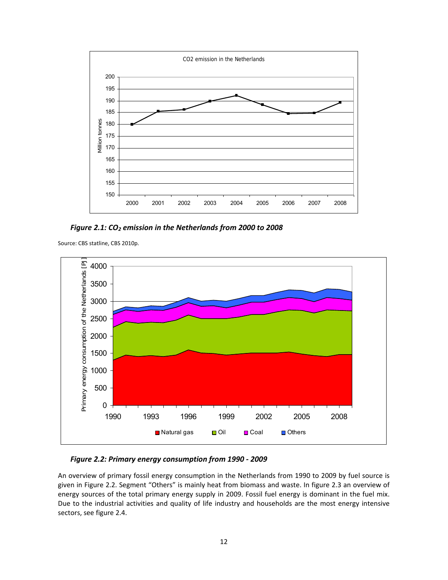

*Figure 2.1: CO2 emission in the Netherlands from 2000 to 2008*

Source: CBS statline, CBS 2010p.



### *Figure 2.2: Primary energy consumption from 1990 ‐ 2009*

An overview of primary fossil energy consumption in the Netherlands from 1990 to 2009 by fuel source is given in Figure 2.2. Segment "Others" is mainly heat from biomass and waste. In figure 2.3 an overview of energy sources of the total primary energy supply in 2009. Fossil fuel energy is dominant in the fuel mix. Due to the industrial activities and quality of life industry and households are the most energy intensive sectors, see figure 2.4.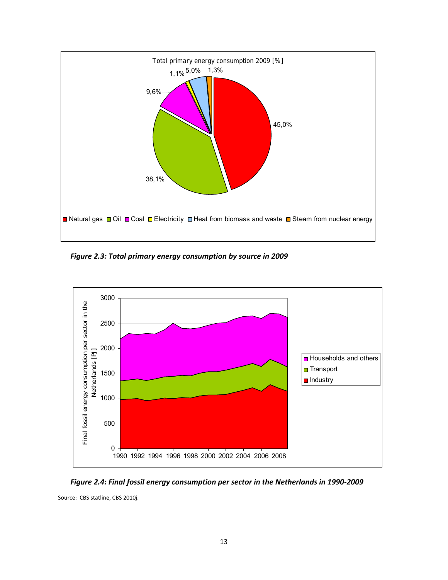

*Figure 2.3: Total primary energy consumption by source in 2009*



Figure 2.4: Final fossil energy consumption per sector in the Netherlands in 1990-2009

Source: CBS statline, CBS 2010j.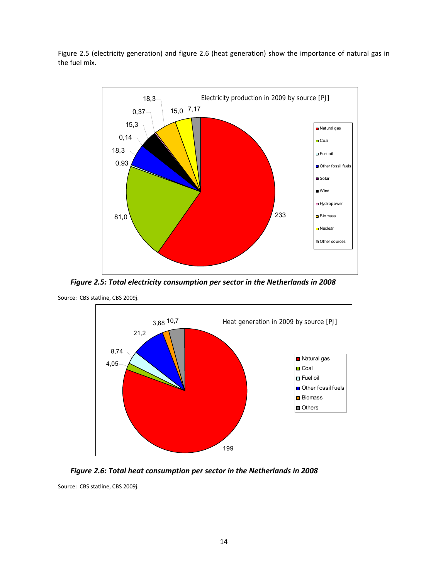Figure 2.5 (electricity generation) and figure 2.6 (heat generation) show the importance of natural gas in the fuel mix.



*Figure 2.5: Total electricity consumption per sector in the Netherlands in 2008*



Source: CBS statline, CBS 2009j.



Source: CBS statline, CBS 2009j.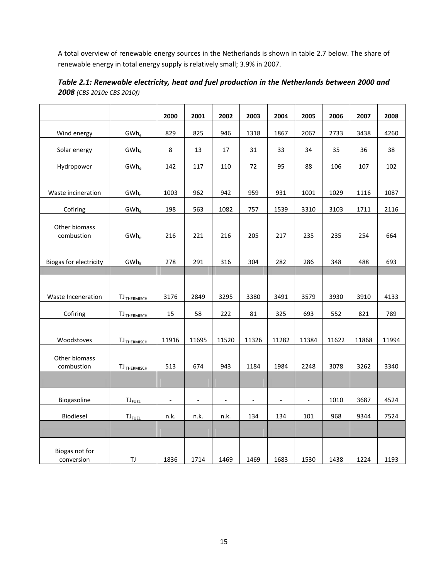A total overview of renewable energy sources in the Netherlands is shown in table 2.7 below. The share of renewable energy in total energy supply is relatively small; 3.9% in 2007.

|                        |                         | 2000                     | 2001                     | 2002                     | 2003                     | 2004                     | 2005                     | 2006  | 2007  | 2008  |
|------------------------|-------------------------|--------------------------|--------------------------|--------------------------|--------------------------|--------------------------|--------------------------|-------|-------|-------|
| Wind energy            | $GWh_e$                 | 829                      | 825                      | 946                      | 1318                     | 1867                     | 2067                     | 2733  | 3438  | 4260  |
| Solar energy           | $GWh_e$                 | 8                        | 13                       | 17                       | 31                       | 33                       | 34                       | 35    | 36    | 38    |
| Hydropower             | $GWh_e$                 | 142                      | 117                      | 110                      | 72                       | 95                       | 88                       | 106   | 107   | 102   |
|                        |                         |                          |                          |                          |                          |                          |                          |       |       |       |
| Waste incineration     | $GWh_e$                 | 1003                     | 962                      | 942                      | 959                      | 931                      | 1001                     | 1029  | 1116  | 1087  |
| Cofiring               | $GWh_e$                 | 198                      | 563                      | 1082                     | 757                      | 1539                     | 3310                     | 3103  | 1711  | 2116  |
| Other biomass          |                         |                          |                          |                          |                          |                          |                          |       |       |       |
| combustion             | $GWh_e$                 | 216                      | 221                      | 216                      | 205                      | 217                      | 235                      | 235   | 254   | 664   |
|                        |                         |                          |                          |                          |                          |                          |                          |       |       |       |
| Biogas for electricity | $GWh_E$                 | 278                      | 291                      | 316                      | 304                      | 282                      | 286                      | 348   | 488   | 693   |
|                        |                         |                          |                          |                          |                          |                          |                          |       |       |       |
|                        |                         |                          |                          |                          |                          |                          |                          |       |       |       |
| Waste Inceneration     | TJ <sub>THERMISCH</sub> | 3176                     | 2849                     | 3295                     | 3380                     | 3491                     | 3579                     | 3930  | 3910  | 4133  |
| Cofiring               | TJ <sub>THERMISCH</sub> | 15                       | 58                       | 222                      | 81                       | 325                      | 693                      | 552   | 821   | 789   |
|                        |                         |                          |                          |                          |                          |                          |                          |       |       |       |
| Woodstoves             | TJ <sub>THERMISCH</sub> | 11916                    | 11695                    | 11520                    | 11326                    | 11282                    | 11384                    | 11622 | 11868 | 11994 |
| Other biomass          |                         |                          |                          |                          |                          |                          |                          |       |       |       |
| combustion             | TJ <sub>THERMISCH</sub> | 513                      | 674                      | 943                      | 1184                     | 1984                     | 2248                     | 3078  | 3262  | 3340  |
|                        |                         |                          |                          |                          |                          |                          |                          |       |       |       |
| Biogasoline            | $TJ_{FUEL}$             | $\overline{\phantom{a}}$ | $\overline{\phantom{a}}$ | $\overline{\phantom{0}}$ | $\overline{\phantom{a}}$ | $\overline{\phantom{a}}$ | $\overline{\phantom{a}}$ | 1010  | 3687  | 4524  |
| Biodiesel              | $TJ_{FUEL}$             | n.k.                     | n.k.                     | n.k.                     | 134                      | 134                      | 101                      | 968   | 9344  | 7524  |
|                        |                         |                          |                          |                          |                          |                          |                          |       |       |       |
|                        |                         |                          |                          |                          |                          |                          |                          |       |       |       |
| Biogas not for         |                         |                          |                          |                          |                          |                          |                          |       |       |       |
| conversion             | TJ                      | 1836                     | 1714                     | 1469                     | 1469                     | 1683                     | 1530                     | 1438  | 1224  | 1193  |

*Table 2.1: Renewable electricity, heat and fuel production in the Netherlands between 2000 and 2008 (CBS 2010e CBS 2010f)*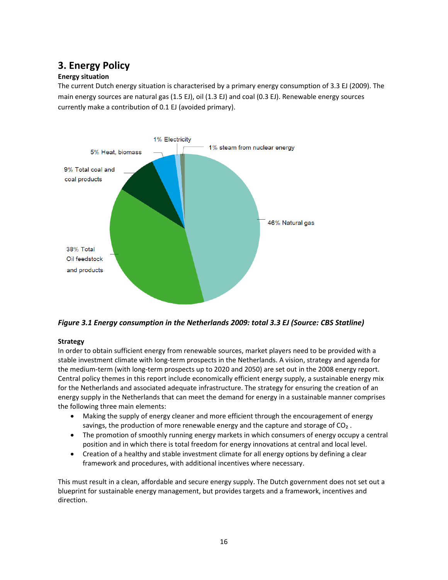## **3. Energy Policy**

### **Energy situation**

The current Dutch energy situation is characterised by a primary energy consumption of 3.3 EJ (2009). The main energy sources are natural gas (1.5 EJ), oil (1.3 EJ) and coal (0.3 EJ). Renewable energy sources currently make a contribution of 0.1 EJ (avoided primary).



*Figure 3.1 Energy consumption in the Netherlands 2009: total 3.3 EJ (Source: CBS Statline)*

### **Strategy**

In order to obtain sufficient energy from renewable sources, market players need to be provided with a stable investment climate with long‐term prospects in the Netherlands. A vision, strategy and agenda for the medium‐term (with long‐term prospects up to 2020 and 2050) are set out in the 2008 energy report. Central policy themes in this report include economically efficient energy supply, a sustainable energy mix for the Netherlands and associated adequate infrastructure. The strategy for ensuring the creation of an energy supply in the Netherlands that can meet the demand for energy in a sustainable manner comprises the following three main elements:

- Making the supply of energy cleaner and more efficient through the encouragement of energy savings, the production of more renewable energy and the capture and storage of CO<sub>2</sub>.
- The promotion of smoothly running energy markets in which consumers of energy occupy a central position and in which there is total freedom for energy innovations at central and local level.
- Creation of a healthy and stable investment climate for all energy options by defining a clear framework and procedures, with additional incentives where necessary.

This must result in a clean, affordable and secure energy supply. The Dutch government does not set out a blueprint for sustainable energy management, but provides targets and a framework, incentives and direction.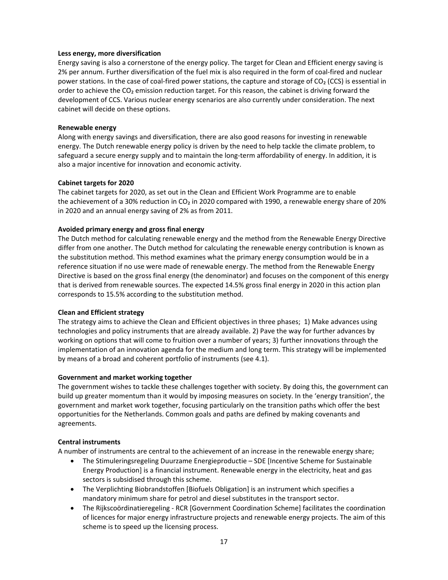#### **Less energy, more diversification**

Energy saving is also a cornerstone of the energy policy. The target for Clean and Efficient energy saving is 2% per annum. Further diversification of the fuel mix is also required in the form of coal‐fired and nuclear power stations. In the case of coal‐fired power stations, the capture and storage of CO₂ (CCS) is essential in order to achieve the CO<sub>2</sub> emission reduction target. For this reason, the cabinet is driving forward the development of CCS. Various nuclear energy scenarios are also currently under consideration. The next cabinet will decide on these options.

#### **Renewable energy**

Along with energy savings and diversification, there are also good reasons for investing in renewable energy. The Dutch renewable energy policy is driven by the need to help tackle the climate problem, to safeguard a secure energy supply and to maintain the long-term affordability of energy. In addition, it is also a major incentive for innovation and economic activity.

#### **Cabinet targets for 2020**

The cabinet targets for 2020, as set out in the Clean and Efficient Work Programme are to enable the achievement of a 30% reduction in CO<sub>2</sub> in 2020 compared with 1990, a renewable energy share of 20% in 2020 and an annual energy saving of 2% as from 2011.

### **Avoided primary energy and gross final energy**

The Dutch method for calculating renewable energy and the method from the Renewable Energy Directive differ from one another. The Dutch method for calculating the renewable energy contribution is known as the substitution method. This method examines what the primary energy consumption would be in a reference situation if no use were made of renewable energy. The method from the Renewable Energy Directive is based on the gross final energy (the denominator) and focuses on the component of this energy that is derived from renewable sources. The expected 14.5% gross final energy in 2020 in this action plan corresponds to 15.5% according to the substitution method.

### **Clean and Efficient strategy**

The strategy aims to achieve the Clean and Efficient objectives in three phases; 1) Make advances using technologies and policy instruments that are already available. 2) Pave the way for further advances by working on options that will come to fruition over a number of years; 3) further innovations through the implementation of an innovation agenda for the medium and long term. This strategy will be implemented by means of a broad and coherent portfolio of instruments (see 4.1).

### **Government and market working together**

The government wishes to tackle these challenges together with society. By doing this, the government can build up greater momentum than it would by imposing measures on society. In the 'energy transition', the government and market work together, focusing particularly on the transition paths which offer the best opportunities for the Netherlands. Common goals and paths are defined by making covenants and agreements.

### **Central instruments**

A number of instruments are central to the achievement of an increase in the renewable energy share;

- The Stimuleringsregeling Duurzame Energieproductie SDE [Incentive Scheme for Sustainable Energy Production] is a financial instrument. Renewable energy in the electricity, heat and gas sectors is subsidised through this scheme.
- The Verplichting Biobrandstoffen [Biofuels Obligation] is an instrument which specifies a mandatory minimum share for petrol and diesel substitutes in the transport sector.
- The Rijkscoördinatieregeling ‐ RCR [Government Coordination Scheme] facilitates the coordination of licences for major energy infrastructure projects and renewable energy projects. The aim of this scheme is to speed up the licensing process.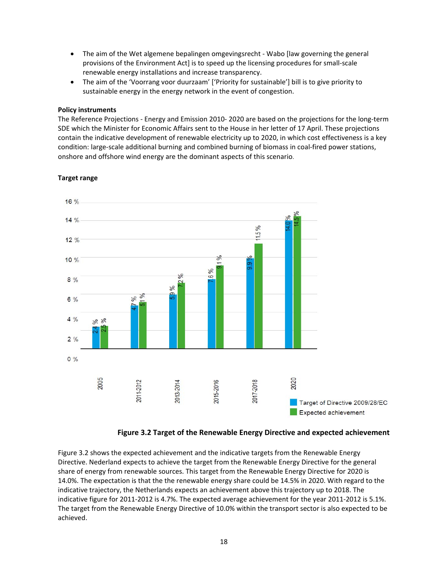- The aim of the Wet algemene bepalingen omgevingsrecht Wabo [law governing the general provisions of the Environment Act] is to speed up the licensing procedures for small‐scale renewable energy installations and increase transparency.
- The aim of the 'Voorrang voor duurzaam' ['Priority for sustainable'] bill is to give priority to sustainable energy in the energy network in the event of congestion.

#### **Policy instruments**

The Reference Projections ‐ Energy and Emission 2010‐ 2020 are based on the projections for the long‐term SDE which the Minister for Economic Affairs sent to the House in her letter of 17 April. These projections contain the indicative development of renewable electricity up to 2020, in which cost effectiveness is a key condition: large-scale additional burning and combined burning of biomass in coal-fired power stations, onshore and offshore wind energy are the dominant aspects of this scenario.



#### **Target range**



Figure 3.2 shows the expected achievement and the indicative targets from the Renewable Energy Directive. Nederland expects to achieve the target from the Renewable Energy Directive for the general share of energy from renewable sources. This target from the Renewable Energy Directive for 2020 is 14.0%. The expectation is that the the renewable energy share could be 14.5% in 2020. With regard to the indicative trajectory, the Netherlands expects an achievement above this trajectory up to 2018. The indicative figure for 2011‐2012 is 4.7%. The expected average achievement for the year 2011‐2012 is 5.1%. The target from the Renewable Energy Directive of 10.0% within the transport sector is also expected to be achieved.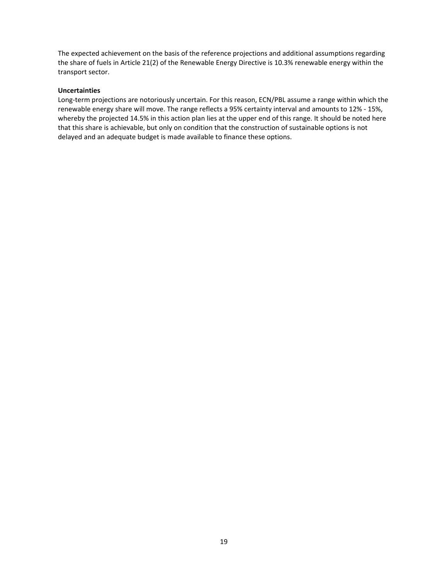The expected achievement on the basis of the reference projections and additional assumptions regarding the share of fuels in Article 21(2) of the Renewable Energy Directive is 10.3% renewable energy within the transport sector.

### **Uncertainties**

Long-term projections are notoriously uncertain. For this reason, ECN/PBL assume a range within which the renewable energy share will move. The range reflects a 95% certainty interval and amounts to 12% ‐ 15%, whereby the projected 14.5% in this action plan lies at the upper end of this range. It should be noted here that this share is achievable, but only on condition that the construction of sustainable options is not delayed and an adequate budget is made available to finance these options.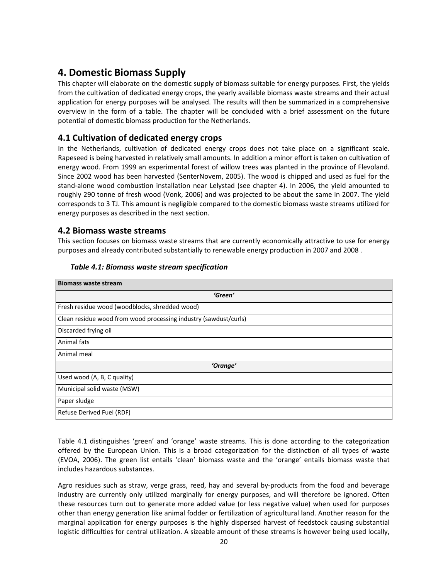## **4. Domestic Biomass Supply**

This chapter will elaborate on the domestic supply of biomass suitable for energy purposes. First, the yields from the cultivation of dedicated energy crops, the yearly available biomass waste streams and their actual application for energy purposes will be analysed. The results will then be summarized in a comprehensive overview in the form of a table. The chapter will be concluded with a brief assessment on the future potential of domestic biomass production for the Netherlands.

## **4.1 Cultivation of dedicated energy crops**

In the Netherlands, cultivation of dedicated energy crops does not take place on a significant scale. Rapeseed is being harvested in relatively small amounts. In addition a minor effort is taken on cultivation of energy wood. From 1999 an experimental forest of willow trees was planted in the province of Flevoland. Since 2002 wood has been harvested (SenterNovem, 2005). The wood is chipped and used as fuel for the stand‐alone wood combustion installation near Lelystad (see chapter 4). In 2006, the yield amounted to roughly 290 tonne of fresh wood (Vonk, 2006) and was projected to be about the same in 2007. The yield corresponds to 3 TJ. This amount is negligible compared to the domestic biomass waste streams utilized for energy purposes as described in the next section.

## **4.2 Biomass waste streams**

This section focuses on biomass waste streams that are currently economically attractive to use for energy purposes and already contributed substantially to renewable energy production in 2007 and 2008 .

| <b>Biomass waste stream</b>                                      |
|------------------------------------------------------------------|
| 'Green'                                                          |
| Fresh residue wood (woodblocks, shredded wood)                   |
| Clean residue wood from wood processing industry (sawdust/curls) |
| Discarded frying oil                                             |
| Animal fats                                                      |
| Animal meal                                                      |
| 'Orange'                                                         |
| Used wood (A, B, C quality)                                      |
| Municipal solid waste (MSW)                                      |
| Paper sludge                                                     |
| Refuse Derived Fuel (RDF)                                        |

### *Table 4.1: Biomass waste stream specification*

Table 4.1 distinguishes 'green' and 'orange' waste streams. This is done according to the categorization offered by the European Union. This is a broad categorization for the distinction of all types of waste (EVOA, 2006). The green list entails 'clean' biomass waste and the 'orange' entails biomass waste that includes hazardous substances.

Agro residues such as straw, verge grass, reed, hay and several by‐products from the food and beverage industry are currently only utilized marginally for energy purposes, and will therefore be ignored. Often these resources turn out to generate more added value (or less negative value) when used for purposes other than energy generation like animal fodder or fertilization of agricultural land. Another reason for the marginal application for energy purposes is the highly dispersed harvest of feedstock causing substantial logistic difficulties for central utilization. A sizeable amount of these streams is however being used locally,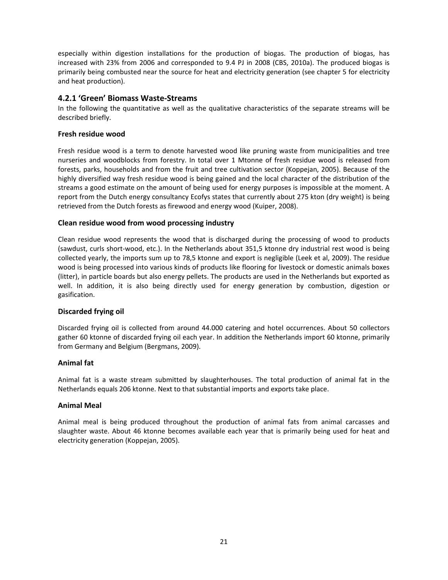especially within digestion installations for the production of biogas. The production of biogas, has increased with 23% from 2006 and corresponded to 9.4 PJ in 2008 (CBS, 2010a). The produced biogas is primarily being combusted near the source for heat and electricity generation (see chapter 5 for electricity and heat production).

### **4.2.1 'Green' Biomass Waste‐Streams**

In the following the quantitative as well as the qualitative characteristics of the separate streams will be described briefly.

### **Fresh residue wood**

Fresh residue wood is a term to denote harvested wood like pruning waste from municipalities and tree nurseries and woodblocks from forestry. In total over 1 Mtonne of fresh residue wood is released from forests, parks, households and from the fruit and tree cultivation sector (Koppejan, 2005). Because of the highly diversified way fresh residue wood is being gained and the local character of the distribution of the streams a good estimate on the amount of being used for energy purposes is impossible at the moment. A report from the Dutch energy consultancy Ecofys states that currently about 275 kton (dry weight) is being retrieved from the Dutch forests as firewood and energy wood (Kuiper, 2008).

### **Clean residue wood from wood processing industry**

Clean residue wood represents the wood that is discharged during the processing of wood to products (sawdust, curls short‐wood, etc.). In the Netherlands about 351,5 ktonne dry industrial rest wood is being collected yearly, the imports sum up to 78,5 ktonne and export is negligible (Leek et al, 2009). The residue wood is being processed into various kinds of products like flooring for livestock or domestic animals boxes (litter), in particle boards but also energy pellets. The products are used in the Netherlands but exported as well. In addition, it is also being directly used for energy generation by combustion, digestion or gasification.

### **Discarded frying oil**

Discarded frying oil is collected from around 44.000 catering and hotel occurrences. About 50 collectors gather 60 ktonne of discarded frying oil each year. In addition the Netherlands import 60 ktonne, primarily from Germany and Belgium (Bergmans, 2009).

### **Animal fat**

Animal fat is a waste stream submitted by slaughterhouses. The total production of animal fat in the Netherlands equals 206 ktonne. Next to that substantial imports and exports take place.

### **Animal Meal**

Animal meal is being produced throughout the production of animal fats from animal carcasses and slaughter waste. About 46 ktonne becomes available each year that is primarily being used for heat and electricity generation (Koppejan, 2005).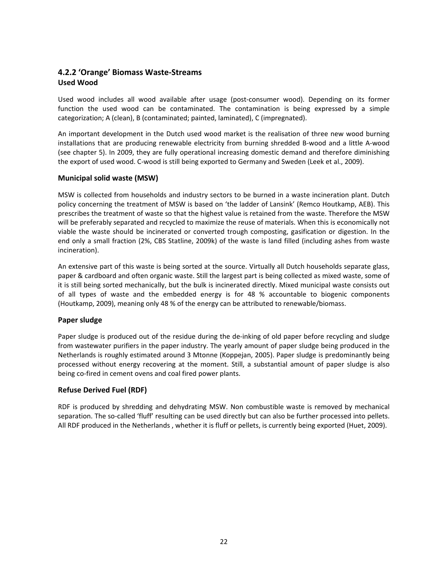## **4.2.2 'Orange' Biomass Waste‐Streams Used Wood**

Used wood includes all wood available after usage (post‐consumer wood). Depending on its former function the used wood can be contaminated. The contamination is being expressed by a simple categorization; A (clean), B (contaminated; painted, laminated), C (impregnated).

An important development in the Dutch used wood market is the realisation of three new wood burning installations that are producing renewable electricity from burning shredded B‐wood and a little A‐wood (see chapter 5). In 2009, they are fully operational increasing domestic demand and therefore diminishing the export of used wood. C‐wood is still being exported to Germany and Sweden (Leek et al., 2009).

### **Municipal solid waste (MSW)**

MSW is collected from households and industry sectors to be burned in a waste incineration plant. Dutch policy concerning the treatment of MSW is based on 'the ladder of Lansink' (Remco Houtkamp, AEB). This prescribes the treatment of waste so that the highest value is retained from the waste. Therefore the MSW will be preferably separated and recycled to maximize the reuse of materials. When this is economically not viable the waste should be incinerated or converted trough composting, gasification or digestion. In the end only a small fraction (2%, CBS Statline, 2009k) of the waste is land filled (including ashes from waste incineration).

An extensive part of this waste is being sorted at the source. Virtually all Dutch households separate glass, paper & cardboard and often organic waste. Still the largest part is being collected as mixed waste, some of it is still being sorted mechanically, but the bulk is incinerated directly. Mixed municipal waste consists out of all types of waste and the embedded energy is for 48 % accountable to biogenic components (Houtkamp, 2009), meaning only 48 % of the energy can be attributed to renewable/biomass.

### **Paper sludge**

Paper sludge is produced out of the residue during the de‐inking of old paper before recycling and sludge from wastewater purifiers in the paper industry. The yearly amount of paper sludge being produced in the Netherlands is roughly estimated around 3 Mtonne (Koppejan, 2005). Paper sludge is predominantly being processed without energy recovering at the moment. Still, a substantial amount of paper sludge is also being co‐fired in cement ovens and coal fired power plants.

### **Refuse Derived Fuel (RDF)**

RDF is produced by shredding and dehydrating MSW. Non combustible waste is removed by mechanical separation. The so-called 'fluff' resulting can be used directly but can also be further processed into pellets. All RDF produced in the Netherlands , whether it is fluff or pellets, is currently being exported (Huet, 2009).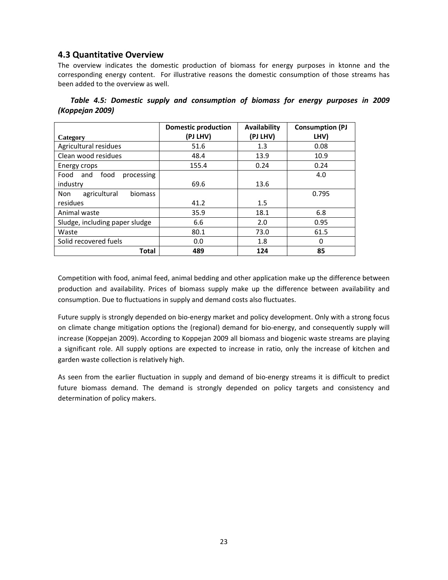## **4.3 Quantitative Overview**

The overview indicates the domestic production of biomass for energy purposes in ktonne and the corresponding energy content. For illustrative reasons the domestic consumption of those streams has been added to the overview as well.

| Table 4.5: Domestic supply and consumption of biomass for energy purposes in 2009 |  |  |  |  |  |
|-----------------------------------------------------------------------------------|--|--|--|--|--|
| (Koppejan 2009)                                                                   |  |  |  |  |  |

|                                       | <b>Domestic production</b> | Availability | <b>Consumption (PJ</b> |
|---------------------------------------|----------------------------|--------------|------------------------|
| Category                              | (PJ LHV)                   | (PJ LHV)     | LHV)                   |
| Agricultural residues                 | 51.6                       | 1.3          | 0.08                   |
| Clean wood residues                   | 48.4                       | 13.9         | 10.9                   |
| Energy crops                          | 155.4                      | 0.24         | 0.24                   |
| food<br>processing<br>Food<br>and     |                            |              | 4.0                    |
| industry                              | 69.6                       | 13.6         |                        |
| agricultural<br><b>biomass</b><br>Non |                            |              | 0.795                  |
| residues                              | 41.2                       | $1.5\,$      |                        |
| Animal waste                          | 35.9                       | 18.1         | 6.8                    |
| Sludge, including paper sludge        | 6.6                        | 2.0          | 0.95                   |
| Waste                                 | 80.1                       | 73.0         | 61.5                   |
| Solid recovered fuels                 | 0.0                        | 1.8          | $\Omega$               |
| Total                                 | 489                        | 124          | 85                     |

Competition with food, animal feed, animal bedding and other application make up the difference between production and availability. Prices of biomass supply make up the difference between availability and consumption. Due to fluctuations in supply and demand costs also fluctuates.

Future supply is strongly depended on bio-energy market and policy development. Only with a strong focus on climate change mitigation options the (regional) demand for bio‐energy, and consequently supply will increase (Koppejan 2009). According to Koppejan 2009 all biomass and biogenic waste streams are playing a significant role. All supply options are expected to increase in ratio, only the increase of kitchen and garden waste collection is relatively high.

As seen from the earlier fluctuation in supply and demand of bio-energy streams it is difficult to predict future biomass demand. The demand is strongly depended on policy targets and consistency and determination of policy makers.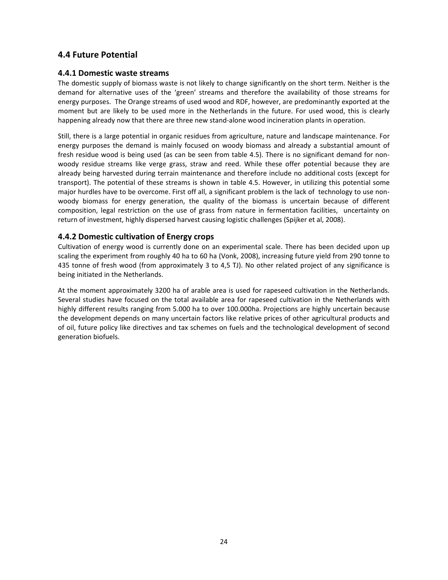## **4.4 Future Potential**

### **4.4.1 Domestic waste streams**

The domestic supply of biomass waste is not likely to change significantly on the short term. Neither is the demand for alternative uses of the 'green' streams and therefore the availability of those streams for energy purposes. The Orange streams of used wood and RDF, however, are predominantly exported at the moment but are likely to be used more in the Netherlands in the future. For used wood, this is clearly happening already now that there are three new stand-alone wood incineration plants in operation.

Still, there is a large potential in organic residues from agriculture, nature and landscape maintenance. For energy purposes the demand is mainly focused on woody biomass and already a substantial amount of fresh residue wood is being used (as can be seen from table 4.5). There is no significant demand for non‐ woody residue streams like verge grass, straw and reed. While these offer potential because they are already being harvested during terrain maintenance and therefore include no additional costs (except for transport). The potential of these streams is shown in table 4.5. However, in utilizing this potential some major hurdles have to be overcome. First off all, a significant problem is the lack of technology to use non‐ woody biomass for energy generation, the quality of the biomass is uncertain because of different composition, legal restriction on the use of grass from nature in fermentation facilities, uncertainty on return of investment, highly dispersed harvest causing logistic challenges (Spijker et al, 2008).

### **4.4.2 Domestic cultivation of Energy crops**

Cultivation of energy wood is currently done on an experimental scale. There has been decided upon up scaling the experiment from roughly 40 ha to 60 ha (Vonk, 2008), increasing future yield from 290 tonne to 435 tonne of fresh wood (from approximately 3 to 4,5 TJ). No other related project of any significance is being initiated in the Netherlands.

At the moment approximately 3200 ha of arable area is used for rapeseed cultivation in the Netherlands. Several studies have focused on the total available area for rapeseed cultivation in the Netherlands with highly different results ranging from 5.000 ha to over 100.000ha. Projections are highly uncertain because the development depends on many uncertain factors like relative prices of other agricultural products and of oil, future policy like directives and tax schemes on fuels and the technological development of second generation biofuels.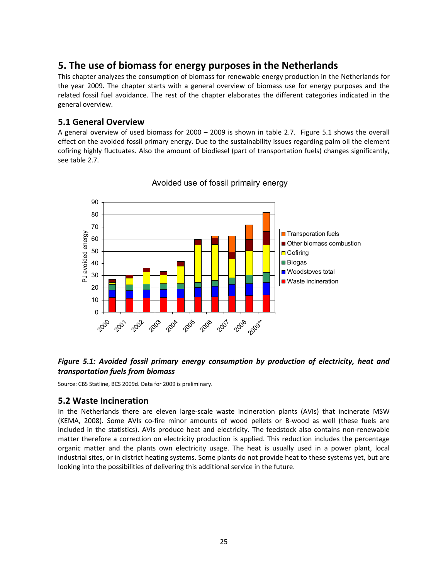## **5. The use of biomass for energy purposes in the Netherlands**

This chapter analyzes the consumption of biomass for renewable energy production in the Netherlands for the year 2009. The chapter starts with a general overview of biomass use for energy purposes and the related fossil fuel avoidance. The rest of the chapter elaborates the different categories indicated in the general overview.

### **5.1 General Overview**

A general overview of used biomass for 2000 – 2009 is shown in table 2.7. Figure 5.1 shows the overall effect on the avoided fossil primary energy. Due to the sustainability issues regarding palm oil the element cofiring highly fluctuates. Also the amount of biodiesel (part of transportation fuels) changes significantly, see table 2.7.



### Avoided use of fossil primairy energy

### *Figure 5.1: Avoided fossil primary energy consumption by production of electricity, heat and transportation fuels from biomass*

Source: CBS Statline, BCS 2009d. Data for 2009 is preliminary.

### **5.2 Waste Incineration**

In the Netherlands there are eleven large-scale waste incineration plants (AVIs) that incinerate MSW (KEMA, 2008). Some AVIs co‐fire minor amounts of wood pellets or B‐wood as well (these fuels are included in the statistics). AVIs produce heat and electricity. The feedstock also contains non-renewable matter therefore a correction on electricity production is applied. This reduction includes the percentage organic matter and the plants own electricity usage. The heat is usually used in a power plant, local industrial sites, or in district heating systems. Some plants do not provide heat to these systems yet, but are looking into the possibilities of delivering this additional service in the future.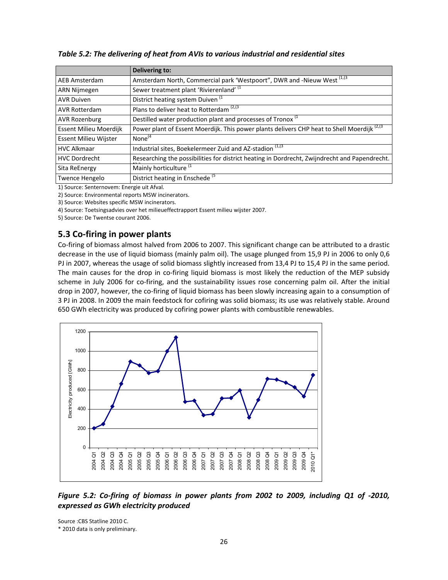**Delivering to:** AEB Amsterdam Amsterdam North, Commercial park 'Westpoort", DWR and -Nieuw West  $^{[1,13]}$ ARN Nijmegen  $\vert$  Sewer treatment plant 'Rivierenland'  $\vert$ <sup>1</sup> AVR Duiven  $\vert$  District heating system Duiven  $\vert$ <sup>1</sup> AVR Rotterdam **Plans to deliver heat to Rotterdam**  $^{(2,13)}$ AVR Rozenburg  $\sqrt{2}$  Destilled water production plant and processes of Tronox  $(1)$ Essent Milieu Moerdijk | Power plant of Essent Moerdijk. This power plants delivers CHP heat to Shell Moerdijk  $^{(2,3)}$ Essent Milieu Wijster None<sup>(4</sup> HVC Alkmaar **III** Industrial sites, Boekelermeer Zuid and AZ-stadion  $(1,1)$ <sup>1</sup> HVC Dordrecht Researching the possibilities for district heating in Dordrecht, Zwijndrecht and Papendrecht.<br>Sita ReEnergy Mainly horticulture  $(1)$ Mainly horticulture <sup>(1</sup> Twence Hengelo | District heating in Enschede (5)

*Table 5.2: The delivering of heat from AVIs to various industrial and residential sites*

1) Source: Senternovem: Energie uit Afval.

2) Source: Environmental reports MSW incinerators.

3) Source: Websites specific MSW incinerators.

4) Source: Toetsingsadvies over het milieueffectrapport Essent milieu wijster 2007.

5) Source: De Twentse courant 2006.

## **5.3 Co‐firing in power plants**

Co‐firing of biomass almost halved from 2006 to 2007. This significant change can be attributed to a drastic decrease in the use of liquid biomass (mainly palm oil). The usage plunged from 15,9 PJ in 2006 to only 0,6 PJ in 2007, whereas the usage of solid biomass slightly increased from 13,4 PJ to 15,4 PJ in the same period. The main causes for the drop in co-firing liquid biomass is most likely the reduction of the MEP subsidy scheme in July 2006 for co-firing, and the sustainability issues rose concerning palm oil. After the initial drop in 2007, however, the co-firing of liquid biomass has been slowly increasing again to a consumption of 3 PJ in 2008. In 2009 the main feedstock for cofiring was solid biomass; its use was relatively stable. Around 650 GWh electricity was produced by cofiring power plants with combustible renewables.



*Figure 5.2: Co‐firing of biomass in power plants from 2002 to 2009, including Q1 of ‐2010, expressed as GWh electricity produced*

Source :CBS Statline 2010 C. \* 2010 data is only preliminary.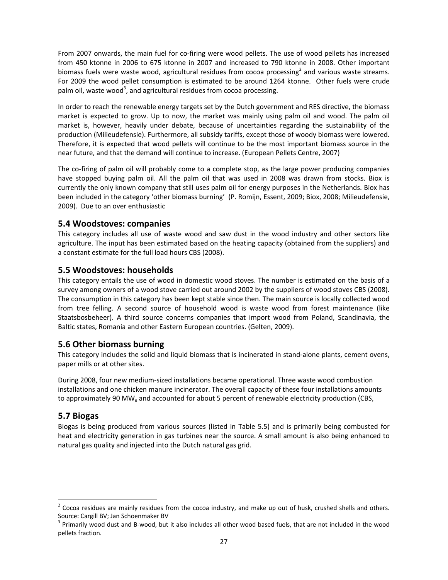From 2007 onwards, the main fuel for co-firing were wood pellets. The use of wood pellets has increased from 450 ktonne in 2006 to 675 ktonne in 2007 and increased to 790 ktonne in 2008. Other important biomass fuels were waste wood, agricultural residues from cocoa processing<sup>2</sup> and various waste streams. For 2009 the wood pellet consumption is estimated to be around 1264 ktonne. Other fuels were crude palm oil, waste wood<sup>3</sup>, and agricultural residues from cocoa processing.

In order to reach the renewable energy targets set by the Dutch government and RES directive, the biomass market is expected to grow. Up to now, the market was mainly using palm oil and wood. The palm oil market is, however, heavily under debate, because of uncertainties regarding the sustainability of the production (Milieudefensie). Furthermore, all subsidy tariffs, except those of woody biomass were lowered. Therefore, it is expected that wood pellets will continue to be the most important biomass source in the near future, and that the demand will continue to increase. (European Pellets Centre, 2007)

The co-firing of palm oil will probably come to a complete stop, as the large power producing companies have stopped buying palm oil. All the palm oil that was used in 2008 was drawn from stocks. Biox is currently the only known company that still uses palm oil for energy purposes in the Netherlands. Biox has been included in the category 'other biomass burning' (P. Romijn, Essent, 2009; Biox, 2008; Milieudefensie, 2009). Due to an over enthusiastic

## **5.4 Woodstoves: companies**

This category includes all use of waste wood and saw dust in the wood industry and other sectors like agriculture. The input has been estimated based on the heating capacity (obtained from the suppliers) and a constant estimate for the full load hours CBS (2008).

## **5.5 Woodstoves: households**

This category entails the use of wood in domestic wood stoves. The number is estimated on the basis of a survey among owners of a wood stove carried out around 2002 by the suppliers of wood stoves CBS (2008). The consumption in this category has been kept stable since then. The main source is locally collected wood from tree felling. A second source of household wood is waste wood from forest maintenance (like Staatsbosbeheer). A third source concerns companies that import wood from Poland, Scandinavia, the Baltic states, Romania and other Eastern European countries. (Gelten, 2009).

## **5.6 Other biomass burning**

This category includes the solid and liquid biomass that is incinerated in stand‐alone plants, cement ovens, paper mills or at other sites.

During 2008, four new medium‐sized installations became operational. Three waste wood combustion installations and one chicken manure incinerator. The overall capacity of these four installations amounts to approximately 90 MW<sub>e</sub> and accounted for about 5 percent of renewable electricity production (CBS,

### **5.7 Biogas**

Biogas is being produced from various sources (listed in Table 5.5) and is primarily being combusted for heat and electricity generation in gas turbines near the source. A small amount is also being enhanced to natural gas quality and injected into the Dutch natural gas grid.

 $2$  Cocoa residues are mainly residues from the cocoa industry, and make up out of husk, crushed shells and others. Source: Cargill BV; Jan Schoenmaker BV<br><sup>3</sup> Primarily wood dust and B-wood, but it also includes all other wood based fuels, that are not included in the wood

pellets fraction.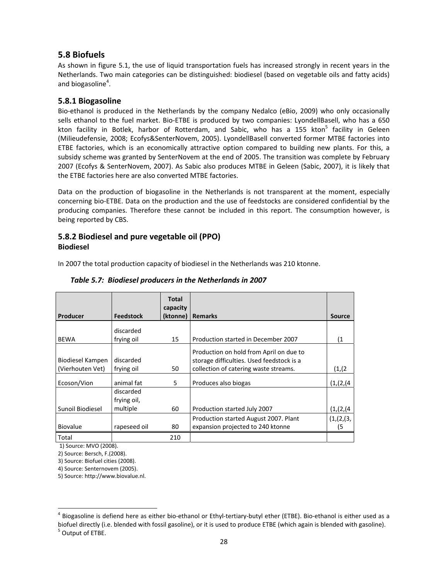## **5.8 Biofuels**

As shown in figure 5.1, the use of liquid transportation fuels has increased strongly in recent years in the Netherlands. Two main categories can be distinguished: biodiesel (based on vegetable oils and fatty acids) and biogasoline<sup>4</sup>.

## **5.8.1 Biogasoline**

Bio‐ethanol is produced in the Netherlands by the company Nedalco (eBio, 2009) who only occasionally sells ethanol to the fuel market. Bio‐ETBE is produced by two companies: LyondellBasell, who has a 650 kton facility in Botlek, harbor of Rotterdam, and Sabic, who has a 155 kton<sup>5</sup> facility in Geleen (Milieudefensie, 2008; Ecofys&SenterNovem, 2005). LyondellBasell converted former MTBE factories into ETBE factories, which is an economically attractive option compared to building new plants. For this, a subsidy scheme was granted by SenterNovem at the end of 2005. The transition was complete by February 2007 (Ecofys & SenterNovem, 2007). As Sabic also produces MTBE in Geleen (Sabic, 2007), it is likely that the ETBE factories here are also converted MTBE factories.

Data on the production of biogasoline in the Netherlands is not transparent at the moment, especially concerning bio‐ETBE. Data on the production and the use of feedstocks are considered confidential by the producing companies. Therefore these cannot be included in this report. The consumption however, is being reported by CBS.

## **5.8.2 Biodiesel and pure vegetable oil (PPO) Biodiesel**

In 2007 the total production capacity of biodiesel in the Netherlands was 210 ktonne.

|                  |                  | <b>Total</b><br>capacity |                                           |            |
|------------------|------------------|--------------------------|-------------------------------------------|------------|
| Producer         | <b>Feedstock</b> | (ktonne)                 | <b>Remarks</b>                            | Source     |
|                  | discarded        |                          |                                           |            |
| <b>BEWA</b>      | frying oil       | 15                       | Production started in December 2007       | (1)        |
|                  |                  |                          | Production on hold from April on due to   |            |
| Biodiesel Kampen | discarded        |                          | storage difficulties. Used feedstock is a |            |
| (Vierhouten Vet) | frying oil       | 50                       | collection of catering waste streams.     | (1,(2)     |
| Ecoson/Vion      | animal fat       | 5.                       | Produces also biogas                      | (1,(2,(4)) |
|                  | discarded        |                          |                                           |            |
|                  | frying oil,      |                          |                                           |            |
| Sunoil Biodiesel | multiple         | 60                       | Production started July 2007              | (1,(2,(4)) |
|                  |                  |                          | Production started August 2007. Plant     | (1,(2,(3,  |
| <b>Biovalue</b>  | rapeseed oil     | 80                       | expansion projected to 240 ktonne         | (5         |
| Total            |                  | 210                      |                                           |            |

### *Table 5.7: Biodiesel producers in the Netherlands in 2007*

1) Source: MVO (2008).

2) Source: Bersch, F.(2008).

3) Source: Biofuel cities (2008).

4) Source: Senternovem (2005).

5) Source: http://www.biovalue.nl.

<sup>&</sup>lt;sup>4</sup> Biogasoline is defiend here as either bio-ethanol or Ethyl-tertiary-butyl ether (ETBE). Bio-ethanol is either used as a biofuel directly (i.e. blended with fossil gasoline), or it is used to produce ETBE (which again is blended with gasoline).<br><sup>5</sup> Output of ETBE.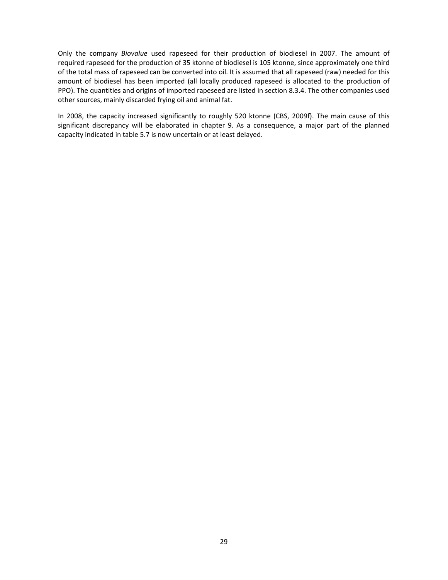Only the company *Biovalue* used rapeseed for their production of biodiesel in 2007. The amount of required rapeseed for the production of 35 ktonne of biodiesel is 105 ktonne, since approximately one third of the total mass of rapeseed can be converted into oil. It is assumed that all rapeseed (raw) needed for this amount of biodiesel has been imported (all locally produced rapeseed is allocated to the production of PPO). The quantities and origins of imported rapeseed are listed in section 8.3.4. The other companies used other sources, mainly discarded frying oil and animal fat.

In 2008, the capacity increased significantly to roughly 520 ktonne (CBS, 2009f). The main cause of this significant discrepancy will be elaborated in chapter 9. As a consequence, a major part of the planned capacity indicated in table 5.7 is now uncertain or at least delayed.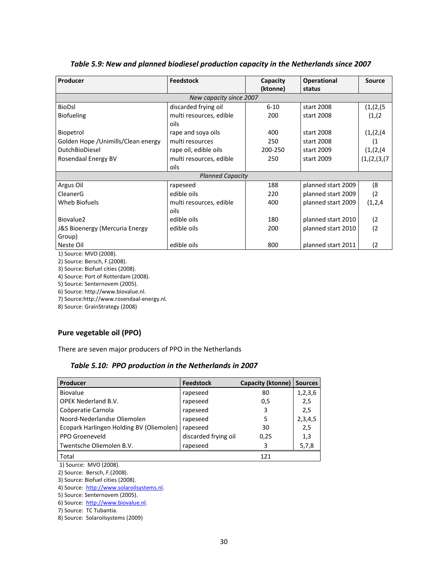| Producer                            | <b>Feedstock</b>        | Capacity | <b>Operational</b> | <b>Source</b> |
|-------------------------------------|-------------------------|----------|--------------------|---------------|
|                                     |                         | (ktonne) | status             |               |
|                                     | New capacity since 2007 |          |                    |               |
| <b>BioDsl</b>                       | discarded frying oil    | $6 - 10$ | start 2008         | (1, 2, 5)     |
| <b>Biofueling</b>                   | multi resources, edible | 200      | start 2008         | (1,(2)        |
|                                     | oils                    |          |                    |               |
| Biopetrol                           | rape and soya oils      | 400      | start 2008         | (1, (2, (4))  |
| Golden Hope / Unimills/Clean energy | multi resources         | 250      | start 2008         |               |
| <b>DutchBioDiesel</b>               | rape oil, edible oils   | 200-250  | start 2009         | (1,(2,(4))    |
| Rosendaal Energy BV                 | multi resources, edible | 250      | start 2009         | (1,(2,(3,(7   |
|                                     | oils                    |          |                    |               |
|                                     | <b>Planned Capacity</b> |          |                    |               |
| Argus Oil                           | rapeseed                | 188      | planned start 2009 | (8            |
| CleanerG                            | edible oils             | 220      | planned start 2009 | (2            |
| Wheb Biofuels                       | multi resources, edible | 400      | planned start 2009 | (1,2,4)       |
|                                     | oils                    |          |                    |               |
| Biovalue2                           | edible oils             | 180      | planned start 2010 | (2            |
| J&S Bioenergy (Mercuria Energy      | edible oils             | 200      | planned start 2010 | (2            |
| Group)                              |                         |          |                    |               |
| Neste Oil                           | edible oils             | 800      | planned start 2011 | (2            |

*Table 5.9: New and planned biodiesel production capacity in the Netherlands since 2007*

1) Source: MVO (2008).

2) Source: Bersch, F.(2008).

3) Source: Biofuel cities (2008).

4) Source: Port of Rotterdam (2008).

5) Source: Senternovem (2005).

6) Source: http://www.biovalue.nl.

7) Source:http://www.rosendaal‐energy.nl.

8) Source: GrainStrategy (2008)

## **Pure vegetable oil (PPO)**

There are seven major producers of PPO in the Netherlands

|  |  |  | Table 5.10: PPO production in the Netherlands in 2007 |
|--|--|--|-------------------------------------------------------|
|--|--|--|-------------------------------------------------------|

| Producer                                 | <b>Feedstock</b>     | Capacity (ktonne) | Sources |
|------------------------------------------|----------------------|-------------------|---------|
| <b>Biovalue</b>                          | rapeseed             | 80                | 1,2,3,6 |
| <b>OPEK Nederland B.V.</b>               | rapeseed             | 0,5               | 2,5     |
| Coöperatie Carnola                       | rapeseed             | 3                 | 2,5     |
| Noord-Nederlandse Oliemolen              | rapeseed             | 5                 | 2,3,4,5 |
| Ecopark Harlingen Holding BV (Oliemolen) | rapeseed             | 30                | 2,5     |
| PPO Groeneveld                           | discarded frying oil | 0,25              | 1,3     |
| Twentsche Oliemolen B.V.                 | rapeseed             | ੨                 | 5,7,8   |
| Total                                    |                      | 121               |         |

1) Source: MVO (2008).

2) Source: Bersch, F.(2008).

3) Source: Biofuel cities (2008).

4) Source: http://www.solaroilsystems.nl.

5) Source: Senternovem (2005).

6) Source: http://www.biovalue.nl.

7) Source: TC Tubantia.

8) Source: Solaroilsystems (2009)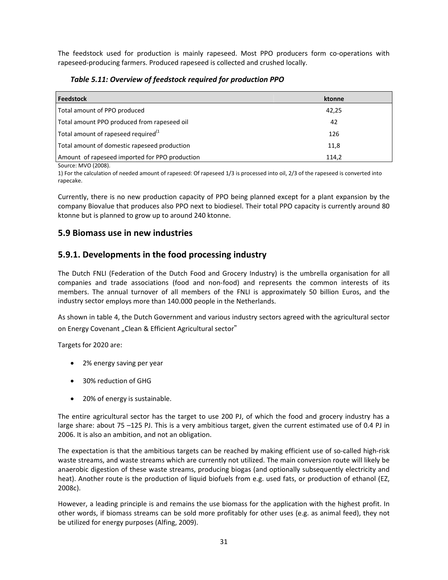The feedstock used for production is mainly rapeseed. Most PPO producers form co-operations with rapeseed‐producing farmers. Produced rapeseed is collected and crushed locally.

### *Table 5.11: Overview of feedstock required for production PPO*

| Feedstock                                      | ktonne |
|------------------------------------------------|--------|
| Total amount of PPO produced                   | 42,25  |
| Total amount PPO produced from rapeseed oil    | 42     |
| Total amount of rapeseed required $^{(1)}$     | 126    |
| Total amount of domestic rapeseed production   | 11,8   |
| Amount of rapeseed imported for PPO production | 114,2  |

Source: MVO (2008).

1) For the calculation of needed amount of rapeseed: Of rapeseed 1/3 is processed into oil, 2/3 of the rapeseed is converted into rapecake.

Currently, there is no new production capacity of PPO being planned except for a plant expansion by the company Biovalue that produces also PPO next to biodiesel. Their total PPO capacity is currently around 80 ktonne but is planned to grow up to around 240 ktonne.

## **5.9 Biomass use in new industries**

## **5.9.1. Developments in the food processing industry**

The Dutch FNLI (Federation of the Dutch Food and Grocery Industry) is the umbrella organisation for all companies and trade associations (food and non‐food) and represents the common interests of its members. The annual turnover of all members of the FNLI is approximately 50 billion Euros, and the industry sector employs more than 140.000 people in the Netherlands.

As shown in table 4, the Dutch Government and various industry sectors agreed with the agricultural sector on Energy Covenant "Clean & Efficient Agricultural sector"

Targets for 2020 are:

- 2% energy saving per year
- 30% reduction of GHG
- 20% of energy is sustainable.

The entire agricultural sector has the target to use 200 PJ, of which the food and grocery industry has a large share: about 75 –125 PJ. This is a very ambitious target, given the current estimated use of 0.4 PJ in 2006. It is also an ambition, and not an obligation.

The expectation is that the ambitious targets can be reached by making efficient use of so‐called high‐risk waste streams, and waste streams which are currently not utilized. The main conversion route will likely be anaerobic digestion of these waste streams, producing biogas (and optionally subsequently electricity and heat). Another route is the production of liquid biofuels from e.g. used fats, or production of ethanol (EZ, 2008c).

However, a leading principle is and remains the use biomass for the application with the highest profit. In other words, if biomass streams can be sold more profitably for other uses (e.g. as animal feed), they not be utilized for energy purposes (Alfing, 2009).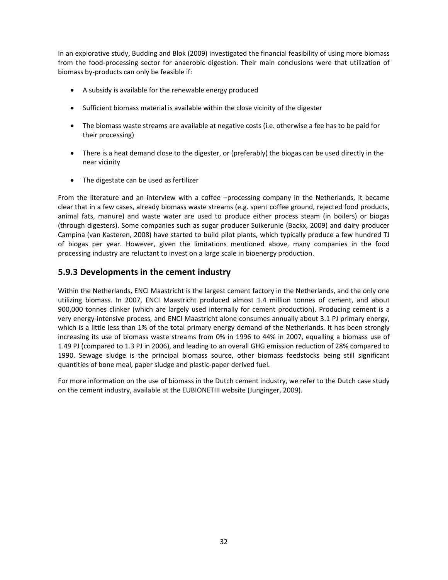In an explorative study, Budding and Blok (2009) investigated the financial feasibility of using more biomass from the food‐processing sector for anaerobic digestion. Their main conclusions were that utilization of biomass by‐products can only be feasible if:

- A subsidy is available for the renewable energy produced
- Sufficient biomass material is available within the close vicinity of the digester
- The biomass waste streams are available at negative costs (i.e. otherwise a fee has to be paid for their processing)
- There is a heat demand close to the digester, or (preferably) the biogas can be used directly in the near vicinity
- The digestate can be used as fertilizer

From the literature and an interview with a coffee –processing company in the Netherlands, it became clear that in a few cases, already biomass waste streams (e.g. spent coffee ground, rejected food products, animal fats, manure) and waste water are used to produce either process steam (in boilers) or biogas (through digesters). Some companies such as sugar producer Suikerunie (Backx, 2009) and dairy producer Campina (van Kasteren, 2008) have started to build pilot plants, which typically produce a few hundred TJ of biogas per year. However, given the limitations mentioned above, many companies in the food processing industry are reluctant to invest on a large scale in bioenergy production.

## **5.9.3 Developments in the cement industry**

Within the Netherlands, ENCI Maastricht is the largest cement factory in the Netherlands, and the only one utilizing biomass. In 2007, ENCI Maastricht produced almost 1.4 million tonnes of cement, and about 900,000 tonnes clinker (which are largely used internally for cement production). Producing cement is a very energy‐intensive process, and ENCI Maastricht alone consumes annually about 3.1 PJ primary energy, which is a little less than 1% of the total primary energy demand of the Netherlands. It has been strongly increasing its use of biomass waste streams from 0% in 1996 to 44% in 2007, equalling a biomass use of 1.49 PJ (compared to 1.3 PJ in 2006), and leading to an overall GHG emission reduction of 28% compared to 1990. Sewage sludge is the principal biomass source, other biomass feedstocks being still significant quantities of bone meal, paper sludge and plastic‐paper derived fuel.

For more information on the use of biomass in the Dutch cement industry, we refer to the Dutch case study on the cement industry, available at the EUBIONETIII website (Junginger, 2009).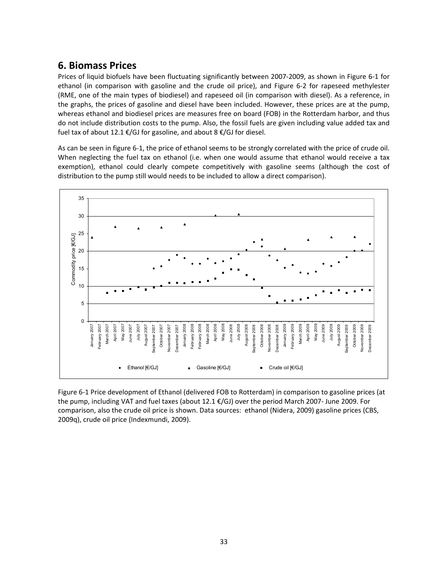## **6. Biomass Prices**

Prices of liquid biofuels have been fluctuating significantly between 2007‐2009, as shown in Figure 6‐1 for ethanol (in comparison with gasoline and the crude oil price), and Figure 6‐2 for rapeseed methylester (RME, one of the main types of biodiesel) and rapeseed oil (in comparison with diesel). As a reference, in the graphs, the prices of gasoline and diesel have been included. However, these prices are at the pump, whereas ethanol and biodiesel prices are measures free on board (FOB) in the Rotterdam harbor, and thus do not include distribution costs to the pump. Also, the fossil fuels are given including value added tax and fuel tax of about 12.1 €/GJ for gasoline, and about 8 €/GJ for diesel.

As can be seen in figure 6‐1, the price of ethanol seems to be strongly correlated with the price of crude oil. When neglecting the fuel tax on ethanol (i.e. when one would assume that ethanol would receive a tax exemption), ethanol could clearly compete competitively with gasoline seems (although the cost of distribution to the pump still would needs to be included to allow a direct comparison).



Figure 6‐1 Price development of Ethanol (delivered FOB to Rotterdam) in comparison to gasoline prices (at the pump, including VAT and fuel taxes (about 12.1 €/GJ) over the period March 2007‐ June 2009. For comparison, also the crude oil price is shown. Data sources: ethanol (Nidera, 2009) gasoline prices (CBS, 2009q), crude oil price (Indexmundi, 2009).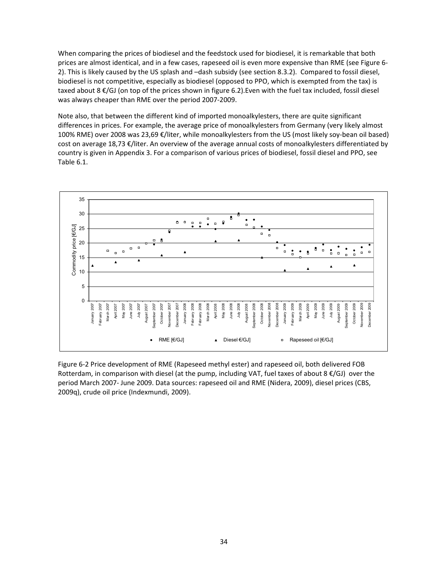When comparing the prices of biodiesel and the feedstock used for biodiesel, it is remarkable that both prices are almost identical, and in a few cases, rapeseed oil is even more expensive than RME (see Figure 6‐ 2). This is likely caused by the US splash and –dash subsidy (see section 8.3.2). Compared to fossil diesel, biodiesel is not competitive, especially as biodiesel (opposed to PPO, which is exempted from the tax) is taxed about 8 €/GJ (on top of the prices shown in figure 6.2).Even with the fuel tax included, fossil diesel was always cheaper than RME over the period 2007‐2009.

Note also, that between the different kind of imported monoalkylesters, there are quite significant differences in prices. For example, the average price of monoalkylesters from Germany (very likely almost 100% RME) over 2008 was 23,69 €/liter, while monoalkylesters from the US (most likely soy‐bean oil based) cost on average 18,73 €/liter. An overview of the average annual costs of monoalkylesters differentiated by country is given in Appendix 3. For a comparison of various prices of biodiesel, fossil diesel and PPO, see Table 6.1.



Figure 6‐2 Price development of RME (Rapeseed methyl ester) and rapeseed oil, both delivered FOB Rotterdam, in comparison with diesel (at the pump, including VAT, fuel taxes of about  $8 \epsilon/GJ$ ) over the period March 2007‐ June 2009. Data sources: rapeseed oil and RME (Nidera, 2009), diesel prices (CBS, 2009q), crude oil price (Indexmundi, 2009).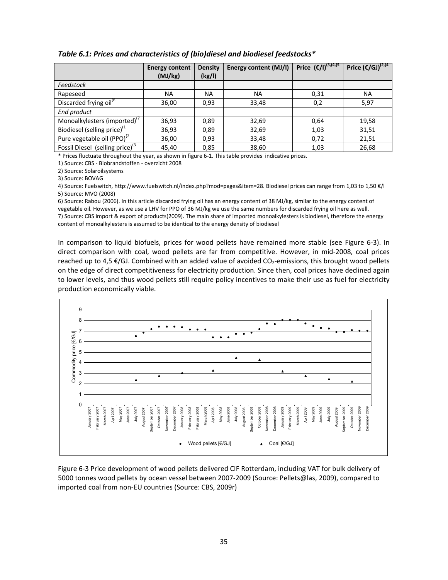|                                             | <b>Energy content</b><br>(MJ/kg) | <b>Density</b><br>(kg/l) | <b>Energy content (MJ/I)</b> | Price $(€/I)^{(3,(4,(5))}$ | Price $(\epsilon/GJ)^{(2,(4)}$ |
|---------------------------------------------|----------------------------------|--------------------------|------------------------------|----------------------------|--------------------------------|
| Feedstock                                   |                                  |                          |                              |                            |                                |
| Rapeseed                                    | <b>NA</b>                        | NA.                      | NA.                          | 0,31                       | <b>NA</b>                      |
| Discarded frying oil <sup>(6</sup>          | 36,00                            | 0,93                     | 33,48                        | 0,2                        | 5,97                           |
| End product                                 |                                  |                          |                              |                            |                                |
| Monoalkylesters (imported)"                 | 36,93                            | 0,89                     | 32,69                        | 0,64                       | 19,58                          |
| Biodiesel (selling price) $(1)$             | 36,93                            | 0,89                     | 32,69                        | 1,03                       | 31,51                          |
| Pure vegetable oil (PPO) <sup>(2</sup>      | 36,00                            | 0.93                     | 33,48                        | 0,72                       | 21,51                          |
| Fossil Diesel (selling price) <sup>(3</sup> | 45,40                            | 0,85                     | 38,60                        | 1,03                       | 26,68                          |

#### *Table 6.1: Prices and characteristics of (bio)diesel and biodiesel feedstocks\**

\* Prices fluctuate throughout the year, as shown in figure 6‐1. This table provides indicative prices.

1) Source: CBS ‐ Biobrandstoffen ‐ overzicht 2008

2) Source: Solaroilsystems

3) Source: BOVAG

4) Source: Fuelswitch, http://www.fuelswitch.nl/index.php?mod=pages&item=28. Biodiesel prices can range from 1,03 to 1,50 €/l 5) Source: MVO (2008)

6) Source: Rabou (2006). In this article discarded frying oil has an energy content of 38 MJ/kg, similar to the energy content of vegetable oil. However, as we use a LHV for PPO of 36 MJ/kg we use the same numbers for discarded frying oil here as well. 7) Source: CBS import & export of products(2009). The main share of imported monoalkylesters is biodiesel, therefore the energy content of monoalkylesters is assumed to be identical to the energy density of biodiesel

In comparison to liquid biofuels, prices for wood pellets have remained more stable (see Figure 6‐3). In direct comparison with coal, wood pellets are far from competitive. However, in mid‐2008, coal prices reached up to 4,5  $E/GJ$ . Combined with an added value of avoided CO<sub>2</sub>-emissions, this brought wood pellets on the edge of direct competitiveness for electricity production. Since then, coal prices have declined again to lower levels, and thus wood pellets still require policy incentives to make their use as fuel for electricity production economically viable.



Figure 6‐3 Price development of wood pellets delivered CIF Rotterdam, including VAT for bulk delivery of 5000 tonnes wood pellets by ocean vessel between 2007‐2009 (Source: Pellets@las, 2009), compared to imported coal from non‐EU countries (Source: CBS, 2009r)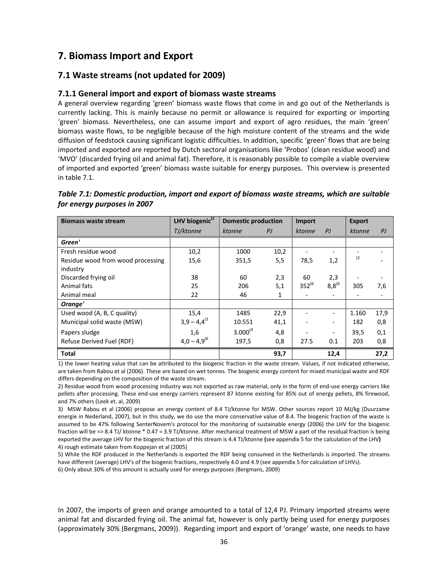## **7. Biomass Import and Export**

## **7.1 Waste streams (not updated for 2009)**

### **7.1.1 General import and export of biomass waste streams**

A general overview regarding 'green' biomass waste flows that come in and go out of the Netherlands is currently lacking. This is mainly because no permit or allowance is required for exporting or importing 'green' biomass. Nevertheless, one can assume import and export of agro residues, the main 'green' biomass waste flows, to be negligible because of the high moisture content of the streams and the wide diffusion of feedstock causing significant logistic difficulties. In addition, specific 'green' flows that are being imported and exported are reported by Dutch sectoral organisations like 'Probos' (clean residue wood) and 'MVO' (discarded frying oil and animal fat). Therefore, it is reasonably possible to compile a viable overview of imported and exported 'green' biomass waste suitable for energy purposes. This overview is presented in table 7.1.

| Table 7.1: Domestic production, import and export of biomass waste streams, which are suitable |  |
|------------------------------------------------------------------------------------------------|--|
| for energy purposes in 2007                                                                    |  |

| <b>Biomass waste stream</b>       | LHV biogenic <sup>(1</sup> | <b>Domestic production</b> |      | Import        |                          | <b>Export</b> |      |
|-----------------------------------|----------------------------|----------------------------|------|---------------|--------------------------|---------------|------|
|                                   | TJ/ktonne                  | ktonne                     | PI   | <i>ktonne</i> | PI                       | <i>ktonne</i> | PI   |
| Green'                            |                            |                            |      |               |                          |               |      |
| Fresh residue wood                | 10,2                       | 1000                       | 10,2 |               |                          |               |      |
| Residue wood from wood processing | 15,6                       | 351,5                      | 5,5  | 78,5          | 1,2                      | (2)           |      |
| industry                          |                            |                            |      |               |                          |               |      |
| Discarded frying oil              | 38                         | 60                         | 2,3  | 60            | 2,3                      |               |      |
| Animal fats                       | 25                         | 206                        | 5,1  | $352^{(6)}$   | $8,8^{(6)}$              | 305           | 7,6  |
| Animal meal                       | 22                         | 46                         | 1    |               | $\overline{\phantom{0}}$ |               |      |
| Orange'                           |                            |                            |      |               |                          |               |      |
| Used wood (A, B, C quality)       | 15,4                       | 1485                       | 22,9 |               | $\overline{\phantom{0}}$ | 1.160         | 17,9 |
| Municipal solid waste (MSW)       | $3,9 - 4,4^{(3)}$          | 10.551                     | 41,1 |               | $\overline{\phantom{a}}$ | 182           | 0,8  |
| Papers sludge                     | 1,6                        | $3.000^{(4)}$              | 4,8  |               | $\overline{\phantom{a}}$ | 39,5          | 0,1  |
| Refuse Derived Fuel (RDF)         | $4,0 - 4,9^{(6)}$          | 197,5                      | 0,8  | 27.5          | 0.1                      | 203           | 0,8  |
| <b>Total</b>                      |                            |                            | 93,7 |               | 12,4                     |               | 27,2 |

1) the lower heating value that can be attributed to the biogenic fraction in the waste stream. Values, if not indicated otherwise, are taken from Rabou et al (2006). These are based on wet tonnes. The biogenic energy content for mixed municipal waste and RDF differs depending on the composition of the waste stream.

2) Residue wood from wood processing industry was not exported as raw material, only in the form of end‐use energy carriers like pellets after processing. These end-use energy carriers represent 87 ktonne existing for 85% out of energy pellets, 8% firewood, and 7% others (Leek et. al, 2009)

3) MSW Rabou et al (2006) propose an energy content of 8.4 TJ/ktonne for MSW. Other sources report 10 MJ/kg (Duurzame energie in Nederland, 2007), but in this study, we do use the more conservative value of 8.4. The biogenic fraction of the waste is assumed to be 47% following SenterNovem's protocol for the monitoring of sustainable energy (2006) the LHV for the biogenic fraction will be => 8.4 TJ/ ktonne \* 0.47 = 3.9 TJ/ktonne. After mechanical treatment of MSW a part of the residual fraction is being exported the average LHV for the biogenic fraction of this stream is 4.4 TJ/ktonne **(**see appendix 5 for the calculation of the LHV**)**  4) rough estimate taken from Koppejan et al (2005)

5) While the RDF produced in the Netherlands is exported the RDF being consumed in the Netherlands is imported. The streams have different (average) LHV's of the biogenic fractions, respectively 4.0 and 4.9 (see appendix 5 for calculation of LHVs).

6) Only about 30% of this amount is actually used for energy purposes (Bergmans, 2009)

In 2007, the imports of green and orange amounted to a total of 12,4 PJ. Primary imported streams were animal fat and discarded frying oil. The animal fat, however is only partly being used for energy purposes (approximately 30% (Bergmans, 2009)). Regarding import and export of 'orange' waste, one needs to have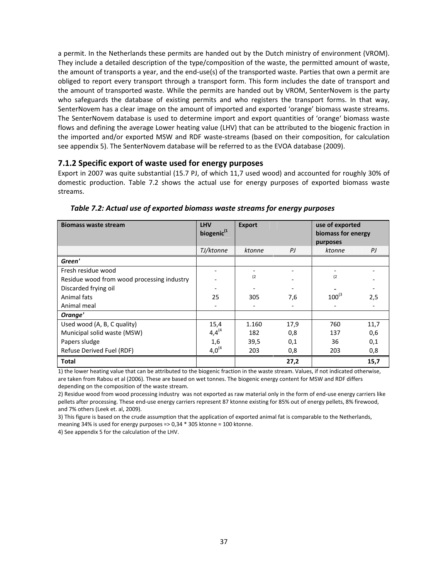a permit. In the Netherlands these permits are handed out by the Dutch ministry of environment (VROM). They include a detailed description of the type/composition of the waste, the permitted amount of waste, the amount of transports a year, and the end-use(s) of the transported waste. Parties that own a permit are obliged to report every transport through a transport form. This form includes the date of transport and the amount of transported waste. While the permits are handed out by VROM, SenterNovem is the party who safeguards the database of existing permits and who registers the transport forms. In that way, SenterNovem has a clear image on the amount of imported and exported 'orange' biomass waste streams. The SenterNovem database is used to determine import and export quantities of 'orange' biomass waste flows and defining the average Lower heating value (LHV) that can be attributed to the biogenic fraction in the imported and/or exported MSW and RDF waste‐streams (based on their composition, for calculation see appendix 5). The SenterNovem database will be referred to as the EVOA database (2009).

### **7.1.2 Specific export of waste used for energy purposes**

Export in 2007 was quite substantial (15.7 PJ, of which 11,7 used wood) and accounted for roughly 30% of domestic production. Table 7.2 shows the actual use for energy purposes of exported biomass waste streams.

| <b>Biomass waste stream</b>                | <b>LHV</b><br>biogenic <sup>(1</sup> | <b>Export</b> |      | use of exported<br>biomass for energy |      |
|--------------------------------------------|--------------------------------------|---------------|------|---------------------------------------|------|
|                                            |                                      |               |      | purposes                              |      |
|                                            | TJ/ktonne                            | ktonne        | PI   | ktonne                                | PJ   |
| Green'                                     |                                      |               |      |                                       |      |
| Fresh residue wood                         |                                      |               |      |                                       |      |
| Residue wood from wood processing industry |                                      | (2)           |      | (2)                                   |      |
| Discarded frying oil                       |                                      |               |      |                                       |      |
| Animal fats                                | 25                                   | 305           | 7,6  | $100^{(3)}$                           | 2,5  |
| Animal meal                                |                                      |               |      |                                       |      |
| Orange'                                    |                                      |               |      |                                       |      |
| Used wood (A, B, C quality)                | 15,4                                 | 1.160         | 17,9 | 760                                   | 11,7 |
| Municipal solid waste (MSW)                | $4,4^{(4)}$                          | 182           | 0,8  | 137                                   | 0,6  |
| Papers sludge                              | 1,6                                  | 39,5          | 0,1  | 36                                    | 0,1  |
| Refuse Derived Fuel (RDF)                  | $4,0^{(4)}$                          | 203           | 0,8  | 203                                   | 0,8  |
| <b>Total</b>                               |                                      |               | 27,2 |                                       | 15,7 |

*Table 7.2: Actual use of exported biomass waste streams for energy purposes*

1) the lower heating value that can be attributed to the biogenic fraction in the waste stream. Values, if not indicated otherwise, are taken from Rabou et al (2006). These are based on wet tonnes. The biogenic energy content for MSW and RDF differs depending on the composition of the waste stream.

2) Residue wood from wood processing industry was not exported as raw material only in the form of end‐use energy carriers like pellets after processing. These end-use energy carriers represent 87 ktonne existing for 85% out of energy pellets, 8% firewood, and 7% others (Leek et. al, 2009).

3) This figure is based on the crude assumption that the application of exported animal fat is comparable to the Netherlands, meaning 34% is used for energy purposes => 0,34 \* 305 ktonne = 100 ktonne.

4) See appendix 5 for the calculation of the LHV.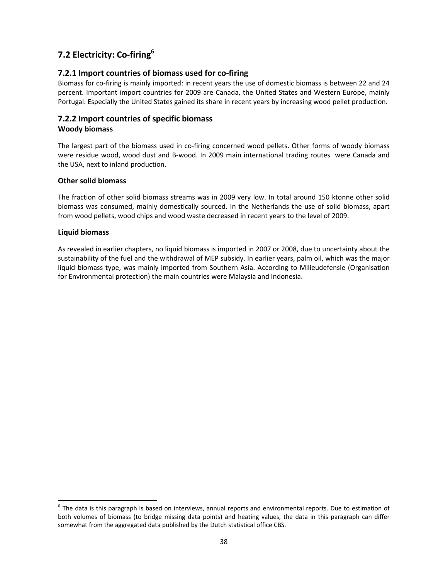## **7.2 Electricity: Co‐firing6**

### **7.2.1 Import countries of biomass used for co‐firing**

Biomass for co‐firing is mainly imported: in recent years the use of domestic biomass is between 22 and 24 percent. Important import countries for 2009 are Canada, the United States and Western Europe, mainly Portugal. Especially the United States gained its share in recent years by increasing wood pellet production.

## **7.2.2 Import countries of specific biomass**

### **Woody biomass**

The largest part of the biomass used in co-firing concerned wood pellets. Other forms of woody biomass were residue wood, wood dust and B‐wood. In 2009 main international trading routes were Canada and the USA, next to inland production.

### **Other solid biomass**

The fraction of other solid biomass streams was in 2009 very low. In total around 150 ktonne other solid biomass was consumed, mainly domestically sourced. In the Netherlands the use of solid biomass, apart from wood pellets, wood chips and wood waste decreased in recent years to the level of 2009.

### **Liquid biomass**

As revealed in earlier chapters, no liquid biomass is imported in 2007 or 2008, due to uncertainty about the sustainability of the fuel and the withdrawal of MEP subsidy. In earlier years, palm oil, which was the major liquid biomass type, was mainly imported from Southern Asia. According to Milieudefensie (Organisation for Environmental protection) the main countries were Malaysia and Indonesia.

 $6$  The data is this paragraph is based on interviews, annual reports and environmental reports. Due to estimation of both volumes of biomass (to bridge missing data points) and heating values, the data in this paragraph can differ somewhat from the aggregated data published by the Dutch statistical office CBS.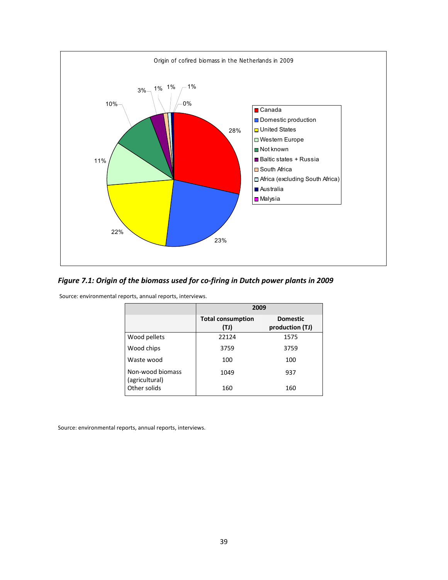

## *Figure 7.1: Origin of the biomass used for co‐firing in Dutch power plants in 2009*

Source: environmental reports, annual reports, interviews.

|                                    | 2009                             |                                    |
|------------------------------------|----------------------------------|------------------------------------|
|                                    | <b>Total consumption</b><br>(TJ) | <b>Domestic</b><br>production (TJ) |
| Wood pellets                       | 22124                            | 1575                               |
| Wood chips                         | 3759                             | 3759                               |
| Waste wood                         | 100                              | 100                                |
| Non-wood biomass<br>(agricultural) | 1049                             | 937                                |
| Other solids                       | 160                              | 160                                |

Source: environmental reports, annual reports, interviews.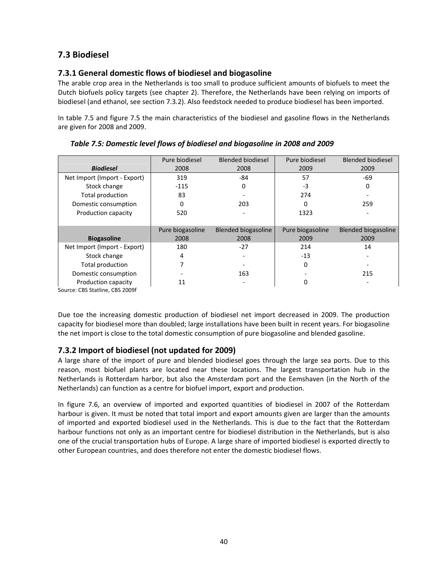## **7.3 Biodiesel**

## **7.3.1 General domestic flows of biodiesel and biogasoline**

The arable crop area in the Netherlands is too small to produce sufficient amounts of biofuels to meet the Dutch biofuels policy targets (see chapter 2). Therefore, the Netherlands have been relying on imports of biodiesel (and ethanol, see section 7.3.2). Also feedstock needed to produce biodiesel has been imported.

In table 7.5 and figure 7.5 the main characteristics of the biodiesel and gasoline flows in the Netherlands are given for 2008 and 2009.

|                              | Pure biodiesel   | <b>Blended biodiesel</b>   | Pure biodiesel   | <b>Blended biodiesel</b>   |
|------------------------------|------------------|----------------------------|------------------|----------------------------|
| <b>Biodiesel</b>             | 2008             | 2008                       | 2009             | 2009                       |
| Net Import (Import - Export) | 319              | -84                        | 57               | $-69$                      |
| Stock change                 | $-115$           | 0                          | $-3$             | 0                          |
| Total production             | 83               |                            | 274              |                            |
| Domestic consumption         | 0                | 203                        | 0                | 259                        |
| Production capacity          | 520              |                            | 1323             |                            |
|                              |                  |                            |                  |                            |
|                              | Pure biogasoline | <b>Blended biogasoline</b> | Pure biogasoline | <b>Blended biogasoline</b> |
| <b>Biogasoline</b>           | 2008             | 2008                       | 2009             | 2009                       |
| Net Import (Import - Export) | 180              | $-27$                      | 214              | 14                         |
| Stock change                 | 4                |                            | $-13$            |                            |
| Total production             |                  |                            | 0                |                            |
| Domestic consumption         |                  | 163                        |                  | 215                        |
| Production capacity          | 11               |                            | 0                |                            |

*Table 7.5: Domestic level flows of biodiesel and biogasoline in 2008 and 2009*

Source: CBS Statline, CBS 2009f

Due toe the increasing domestic production of biodiesel net import decreased in 2009. The production capacity for biodiesel more than doubled; large installations have been built in recent years. For biogasoline the net import is close to the total domestic consumption of pure biogasoline and blended gasoline.

## **7.3.2 Import of biodiesel (not updated for 2009)**

A large share of the import of pure and blended biodiesel goes through the large sea ports. Due to this reason, most biofuel plants are located near these locations. The largest transportation hub in the Netherlands is Rotterdam harbor, but also the Amsterdam port and the Eemshaven (in the North of the Netherlands) can function as a centre for biofuel import, export and production.

In figure 7.6, an overview of imported and exported quantities of biodiesel in 2007 of the Rotterdam harbour is given. It must be noted that total import and export amounts given are larger than the amounts of imported and exported biodiesel used in the Netherlands. This is due to the fact that the Rotterdam harbour functions not only as an important centre for biodiesel distribution in the Netherlands, but is also one of the crucial transportation hubs of Europe. A large share of imported biodiesel is exported directly to other European countries, and does therefore not enter the domestic biodiesel flows.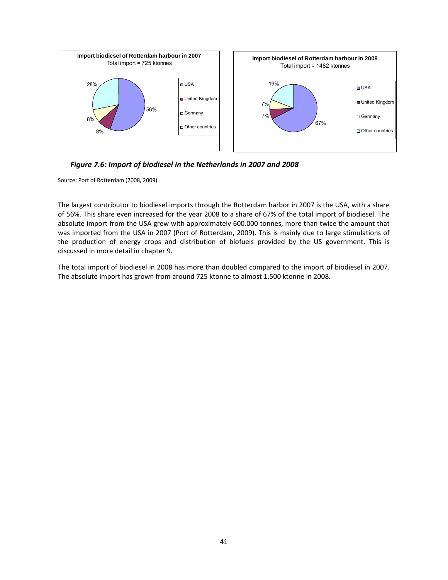![](_page_40_Figure_0.jpeg)

*Figure 7.6: Import of biodiesel in the Netherlands in 2007 and 2008* 

Source: Port of Rotterdam (2008, 2009)

The largest contributor to biodiesel imports through the Rotterdam harbor in 2007 is the USA, with a share of 56%. This share even increased for the year 2008 to a share of 67% of the total import of biodiesel. The absolute import from the USA grew with approximately 600.000 tonnes, more than twice the amount that was imported from the USA in 2007 (Port of Rotterdam, 2009). This is mainly due to large stimulations of the production of energy crops and distribution of biofuels provided by the US government. This is discussed in more detail in chapter 9.

The total import of biodiesel in 2008 has more than doubled compared to the import of biodiesel in 2007. The absolute import has grown from around 725 ktonne to almost 1.500 ktonne in 2008.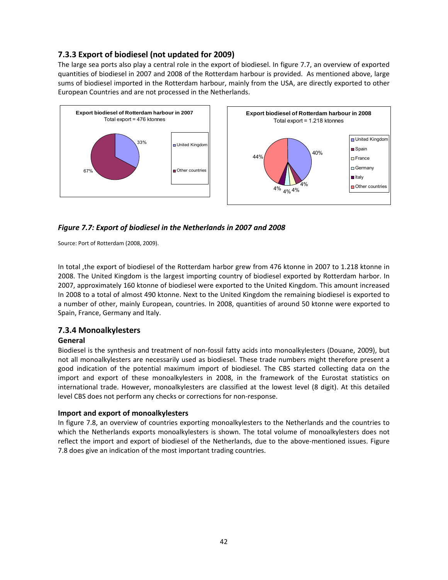## **7.3.3 Export of biodiesel (not updated for 2009)**

The large sea ports also play a central role in the export of biodiesel. In figure 7.7, an overview of exported quantities of biodiesel in 2007 and 2008 of the Rotterdam harbour is provided. As mentioned above, large sums of biodiesel imported in the Rotterdam harbour, mainly from the USA, are directly exported to other European Countries and are not processed in the Netherlands.

![](_page_41_Figure_2.jpeg)

### *Figure 7.7: Export of biodiesel in the Netherlands in 2007 and 2008*

Source: Port of Rotterdam (2008, 2009).

In total ,the export of biodiesel of the Rotterdam harbor grew from 476 ktonne in 2007 to 1.218 ktonne in 2008. The United Kingdom is the largest importing country of biodiesel exported by Rotterdam harbor. In 2007, approximately 160 ktonne of biodiesel were exported to the United Kingdom. This amount increased In 2008 to a total of almost 490 ktonne. Next to the United Kingdom the remaining biodiesel is exported to a number of other, mainly European, countries. In 2008, quantities of around 50 ktonne were exported to Spain, France, Germany and Italy.

### **7.3.4 Monoalkylesters**

### **General**

Biodiesel is the synthesis and treatment of non‐fossil fatty acids into monoalkylesters (Douane, 2009), but not all monoalkylesters are necessarily used as biodiesel. These trade numbers might therefore present a good indication of the potential maximum import of biodiesel. The CBS started collecting data on the import and export of these monoalkylesters in 2008, in the framework of the Eurostat statistics on international trade. However, monoalkylesters are classified at the lowest level (8 digit). At this detailed level CBS does not perform any checks or corrections for non‐response.

### **Import and export of monoalkylesters**

In figure 7.8, an overview of countries exporting monoalkylesters to the Netherlands and the countries to which the Netherlands exports monoalkylesters is shown. The total volume of monoalkylesters does not reflect the import and export of biodiesel of the Netherlands, due to the above-mentioned issues. Figure 7.8 does give an indication of the most important trading countries.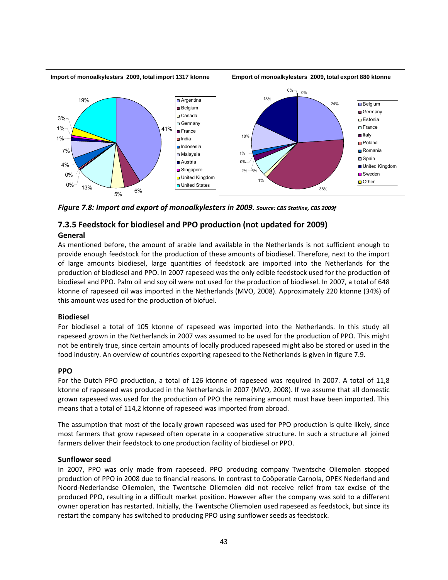#### **Import of monoalkylesters 2009, total import 1317 ktonne**

**Emport of monoalkylesters 2009, total export 880 ktonne**

![](_page_42_Figure_2.jpeg)

*Figure 7.8: Import and export of monoalkylesters in 2009. Source: CBS Statline, CBS 2009f*

## **7.3.5 Feedstock for biodiesel and PPO production (not updated for 2009)**

#### **General**

As mentioned before, the amount of arable land available in the Netherlands is not sufficient enough to provide enough feedstock for the production of these amounts of biodiesel. Therefore, next to the import of large amounts biodiesel, large quantities of feedstock are imported into the Netherlands for the production of biodiesel and PPO. In 2007 rapeseed was the only edible feedstock used for the production of biodiesel and PPO. Palm oil and soy oil were not used for the production of biodiesel. In 2007, a total of 648 ktonne of rapeseed oil was imported in the Netherlands (MVO, 2008). Approximately 220 ktonne (34%) of this amount was used for the production of biofuel.

#### **Biodiesel**

For biodiesel a total of 105 ktonne of rapeseed was imported into the Netherlands. In this study all rapeseed grown in the Netherlands in 2007 was assumed to be used for the production of PPO. This might not be entirely true, since certain amounts of locally produced rapeseed might also be stored or used in the food industry. An overview of countries exporting rapeseed to the Netherlands is given in figure 7.9.

#### **PPO**

For the Dutch PPO production, a total of 126 ktonne of rapeseed was required in 2007. A total of 11,8 ktonne of rapeseed was produced in the Netherlands in 2007 (MVO, 2008). If we assume that all domestic grown rapeseed was used for the production of PPO the remaining amount must have been imported. This means that a total of 114,2 ktonne of rapeseed was imported from abroad.

The assumption that most of the locally grown rapeseed was used for PPO production is quite likely, since most farmers that grow rapeseed often operate in a cooperative structure. In such a structure all joined farmers deliver their feedstock to one production facility of biodiesel or PPO.

#### **Sunflower seed**

In 2007, PPO was only made from rapeseed. PPO producing company Twentsche Oliemolen stopped production of PPO in 2008 due to financial reasons. In contrast to Coöperatie Carnola, OPEK Nederland and Noord‐Nederlandse Oliemolen, the Twentsche Oliemolen did not receive relief from tax excise of the produced PPO, resulting in a difficult market position. However after the company was sold to a different owner operation has restarted. Initially, the Twentsche Oliemolen used rapeseed as feedstock, but since its restart the company has switched to producing PPO using sunflower seeds as feedstock.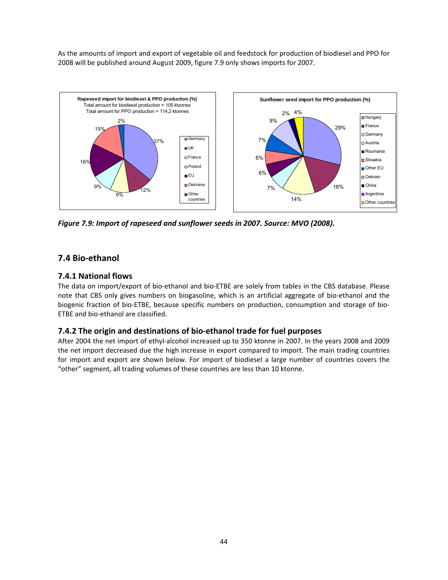As the amounts of import and export of vegetable oil and feedstock for production of biodiesel and PPO for 2008 will be published around August 2009, figure 7.9 only shows imports for 2007.

![](_page_43_Figure_1.jpeg)

*Figure 7.9: Import of rapeseed and sunflower seeds in 2007. Source: MVO (2008).*

## **7.4 Bio‐ethanol**

### **7.4.1 National flows**

The data on import/export of bio‐ethanol and bio‐ETBE are solely from tables in the CBS database. Please note that CBS only gives numbers on biogasoline, which is an artificial aggregate of bio‐ethanol and the biogenic fraction of bio-ETBE, because specific numbers on production, consumption and storage of bio-ETBE and bio‐ethanol are classified.

### **7.4.2 The origin and destinations of bio‐ethanol trade for fuel purposes**

After 2004 the net import of ethyl‐alcohol increased up to 350 ktonne in 2007. In the years 2008 and 2009 the net import decreased due the high increase in export compared to import. The main trading countries for import and export are shown below. For import of biodiesel a large number of countries covers the "other" segment, all trading volumes of these countries are less than 10 ktonne.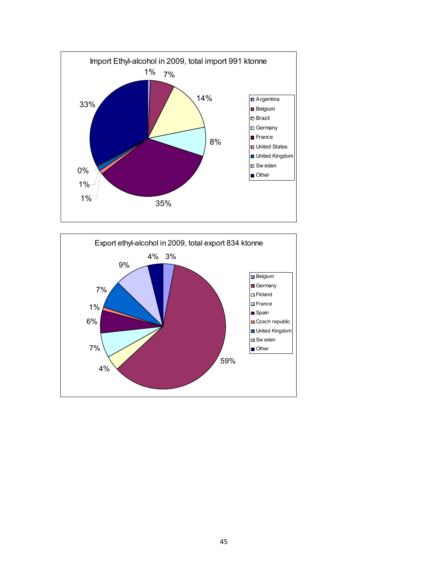![](_page_44_Figure_0.jpeg)

![](_page_44_Figure_1.jpeg)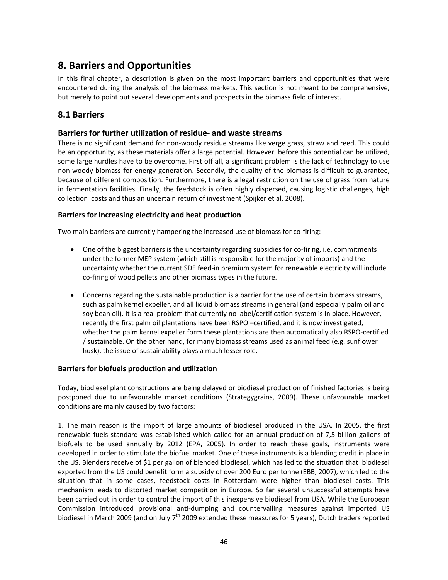## **8. Barriers and Opportunities**

In this final chapter, a description is given on the most important barriers and opportunities that were encountered during the analysis of the biomass markets. This section is not meant to be comprehensive, but merely to point out several developments and prospects in the biomass field of interest.

## **8.1 Barriers**

### **Barriers for further utilization of residue‐ and waste streams**

There is no significant demand for non-woody residue streams like verge grass, straw and reed. This could be an opportunity, as these materials offer a large potential. However, before this potential can be utilized, some large hurdles have to be overcome. First off all, a significant problem is the lack of technology to use non‐woody biomass for energy generation. Secondly, the quality of the biomass is difficult to guarantee, because of different composition. Furthermore, there is a legal restriction on the use of grass from nature in fermentation facilities. Finally, the feedstock is often highly dispersed, causing logistic challenges, high collection costs and thus an uncertain return of investment (Spijker et al, 2008).

### **Barriers for increasing electricity and heat production**

Two main barriers are currently hampering the increased use of biomass for co‐firing:

- One of the biggest barriers is the uncertainty regarding subsidies for co-firing, i.e. commitments under the former MEP system (which still is responsible for the majority of imports) and the uncertainty whether the current SDE feed‐in premium system for renewable electricity will include co-firing of wood pellets and other biomass types in the future.
- Concerns regarding the sustainable production is a barrier for the use of certain biomass streams, such as palm kernel expeller, and all liquid biomass streams in general (and especially palm oil and soy bean oil). It is a real problem that currently no label/certification system is in place. However, recently the first palm oil plantations have been RSPO –certified, and it is now investigated, whether the palm kernel expeller form these plantations are then automatically also RSPO‐certified / sustainable. On the other hand, for many biomass streams used as animal feed (e.g. sunflower husk), the issue of sustainability plays a much lesser role.

### **Barriers for biofuels production and utilization**

Today, biodiesel plant constructions are being delayed or biodiesel production of finished factories is being postponed due to unfavourable market conditions (Strategygrains, 2009). These unfavourable market conditions are mainly caused by two factors:

1. The main reason is the import of large amounts of biodiesel produced in the USA. In 2005, the first renewable fuels standard was established which called for an annual production of 7,5 billion gallons of biofuels to be used annually by 2012 (EPA, 2005). In order to reach these goals, instruments were developed in order to stimulate the biofuel market. One of these instruments is a blending credit in place in the US. Blenders receive of \$1 per gallon of blended biodiesel, which has led to the situation that biodiesel exported from the US could benefit form a subsidy of over 200 Euro per tonne (EBB, 2007), which led to the situation that in some cases, feedstock costs in Rotterdam were higher than biodiesel costs. This mechanism leads to distorted market competition in Europe. So far several unsuccessful attempts have been carried out in order to control the import of this inexpensive biodiesel from USA. While the European Commission introduced provisional anti‐dumping and countervailing measures against imported US biodiesel in March 2009 (and on July  $7<sup>th</sup>$  2009 extended these measures for 5 years), Dutch traders reported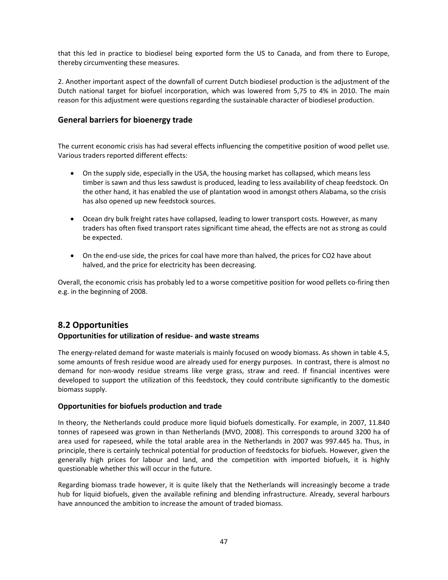that this led in practice to biodiesel being exported form the US to Canada, and from there to Europe, thereby circumventing these measures.

2. Another important aspect of the downfall of current Dutch biodiesel production is the adjustment of the Dutch national target for biofuel incorporation, which was lowered from 5,75 to 4% in 2010. The main reason for this adjustment were questions regarding the sustainable character of biodiesel production.

### **General barriers for bioenergy trade**

The current economic crisis has had several effects influencing the competitive position of wood pellet use. Various traders reported different effects:

- On the supply side, especially in the USA, the housing market has collapsed, which means less timber is sawn and thus less sawdust is produced, leading to less availability of cheap feedstock. On the other hand, it has enabled the use of plantation wood in amongst others Alabama, so the crisis has also opened up new feedstock sources.
- Ocean dry bulk freight rates have collapsed, leading to lower transport costs. However, as many traders has often fixed transport rates significant time ahead, the effects are not as strong as could be expected.
- On the end-use side, the prices for coal have more than halved, the prices for CO2 have about halved, and the price for electricity has been decreasing.

Overall, the economic crisis has probably led to a worse competitive position for wood pellets co‐firing then e.g. in the beginning of 2008.

## **8.2 Opportunities**

### **Opportunities for utilization of residue‐ and waste streams**

The energy-related demand for waste materials is mainly focused on woody biomass. As shown in table 4.5, some amounts of fresh residue wood are already used for energy purposes. In contrast, there is almost no demand for non‐woody residue streams like verge grass, straw and reed. If financial incentives were developed to support the utilization of this feedstock, they could contribute significantly to the domestic biomass supply.

### **Opportunities for biofuels production and trade**

In theory, the Netherlands could produce more liquid biofuels domestically. For example, in 2007, 11.840 tonnes of rapeseed was grown in than Netherlands (MVO, 2008). This corresponds to around 3200 ha of area used for rapeseed, while the total arable area in the Netherlands in 2007 was 997.445 ha. Thus, in principle, there is certainly technical potential for production of feedstocks for biofuels. However, given the generally high prices for labour and land, and the competition with imported biofuels, it is highly questionable whether this will occur in the future.

Regarding biomass trade however, it is quite likely that the Netherlands will increasingly become a trade hub for liquid biofuels, given the available refining and blending infrastructure. Already, several harbours have announced the ambition to increase the amount of traded biomass.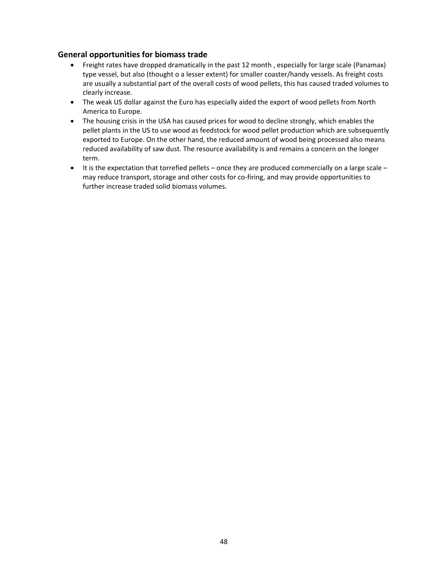### **General opportunities for biomass trade**

- Freight rates have dropped dramatically in the past 12 month , especially for large scale (Panamax) type vessel, but also (thought o a lesser extent) for smaller coaster/handy vessels. As freight costs are usually a substantial part of the overall costs of wood pellets, this has caused traded volumes to clearly increase.
- The weak US dollar against the Euro has especially aided the export of wood pellets from North America to Europe.
- The housing crisis in the USA has caused prices for wood to decline strongly, which enables the pellet plants in the US to use wood as feedstock for wood pellet production which are subsequently exported to Europe. On the other hand, the reduced amount of wood being processed also means reduced availability of saw dust. The resource availability is and remains a concern on the longer term.
- $\bullet$  It is the expectation that torrefied pellets once they are produced commercially on a large scale may reduce transport, storage and other costs for co-firing, and may provide opportunities to further increase traded solid biomass volumes.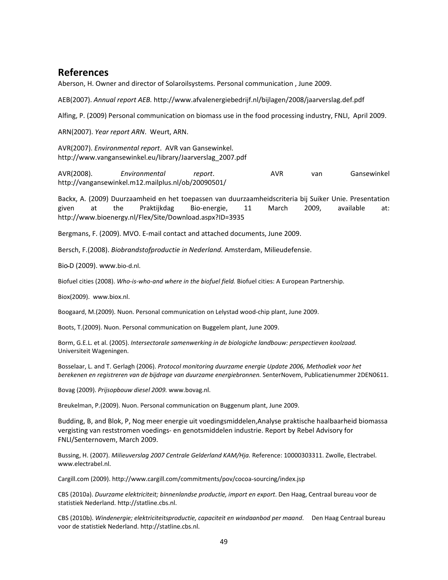## **References**

Aberson, H. Owner and director of Solaroilsystems. Personal communication , June 2009.

AEB(2007). *Annual report AEB.* http://www.afvalenergiebedrijf.nl/bijlagen/2008/jaarverslag.def.pdf

Alfing, P. (2009) Personal communication on biomass use in the food processing industry, FNLI, April 2009.

ARN(2007). *Year report ARN*. Weurt, ARN.

AVR(2007). *Environmental report*. AVR van Gansewinkel. http://www.vangansewinkel.eu/library/Jaarverslag\_2007.pdf

AVR(2008). *Environmental report*. AVR van Gansewinkel http://vangansewinkel.m12.mailplus.nl/ob/20090501/

Backx, A. (2009) Duurzaamheid en het toepassen van duurzaamheidscriteria bij Suiker Unie. Presentation given at the Praktijkdag Bio‐energie, 11 March 2009, available at: http://www.bioenergy.nl/Flex/Site/Download.aspx?ID=3935

Bergmans, F. (2009). MVO. E‐mail contact and attached documents, June 2009.

Bersch, F.(2008). *Biobrandstofproductie in Nederland.* Amsterdam, Milieudefensie.

BioـD (2009). www.bio‐d.nl.

Biofuel cities (2008). *Who‐is‐who‐and where in the biofuel field.* Biofuel cities: A European Partnership.

Biox(2009). www.biox.nl.

Boogaard, M.(2009). Nuon. Personal communication on Lelystad wood‐chip plant, June 2009.

Boots, T.(2009). Nuon. Personal communication on Buggelem plant, June 2009.

Borm, G.E.L. et al. (2005). *Intersectorale samenwerking in de biologiche landbouw: perspectieven koolzaad.* Universiteit Wageningen.

Bosselaar, L. and T. Gerlagh (2006). *Protocol monitoring duurzame energie Update 2006, Methodiek voor het berekenen en registreren van de bijdrage van duurzame energiebronnen.* SenterNovem, Publicatienummer 2DEN0611.

Bovag (2009). *Prijsopbouw diesel 2009.* www.bovag.nl.

Breukelman, P.(2009). Nuon. Personal communication on Buggenum plant, June 2009.

Budding, B, and Blok, P, Nog meer energie uit voedingsmiddelen,Analyse praktische haalbaarheid biomassa vergisting van reststromen voedings‐ en genotsmiddelen industrie. Report by Rebel Advisory for FNLI/Senternovem, March 2009.

Bussing, H. (2007). *Milieuverslag 2007 Centrale Gelderland KAM/Hja.* Reference: 10000303311. Zwolle, Electrabel. www.electrabel.nl.

Cargill.com (2009). http://www.cargill.com/commitments/pov/cocoa‐sourcing/index.jsp

CBS (2010a). *Duurzame elektriciteit; binnenlandse productie, import en export*. Den Haag, Centraal bureau voor de statistiek Nederland. http://statline.cbs.nl.

CBS (2010b). *Windenergie; elektriciteitsproductie, capaciteit en windaanbod per maand*. Den Haag Centraal bureau voor de statistiek Nederland. http://statline.cbs.nl.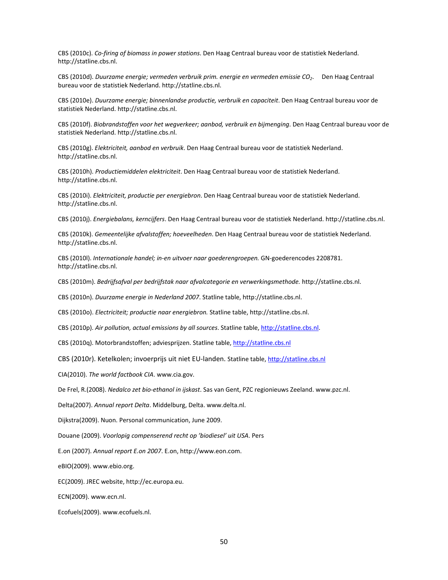CBS (2010c). *Co‐firing of biomass in power stations*. Den Haag Centraal bureau voor de statistiek Nederland. http://statline.cbs.nl.

CBS (2010d). *Duurzame energie; vermeden verbruik prim. energie en vermeden emissie CO2*. Den Haag Centraal bureau voor de statistiek Nederland. http://statline.cbs.nl.

CBS (2010e). *Duurzame energie; binnenlandse productie, verbruik en capaciteit*. Den Haag Centraal bureau voor de statistiek Nederland. http://statline.cbs.nl.

CBS (2010f). *Biobrandstoffen voor het wegverkeer; aanbod, verbruik en bijmenging*. Den Haag Centraal bureau voor de statistiek Nederland. http://statline.cbs.nl.

CBS (2010g). *Elektriciteit, aanbod en verbruik*. Den Haag Centraal bureau voor de statistiek Nederland. http://statline.cbs.nl.

CBS (2010h). *Productiemiddelen elektriciteit*. Den Haag Centraal bureau voor de statistiek Nederland. http://statline.cbs.nl.

CBS (2010i). *Elektriciteit, productie per energiebron*. Den Haag Centraal bureau voor de statistiek Nederland. http://statline.cbs.nl.

CBS (2010j). *Energiebalans, kerncijfers*. Den Haag Centraal bureau voor de statistiek Nederland. http://statline.cbs.nl.

CBS (2010k). *Gemeentelijke afvalstoffen; hoeveelheden*. Den Haag Centraal bureau voor de statistiek Nederland. http://statline.cbs.nl.

CBS (2010l). *Internationale handel; in‐en uitvoer naar goederengroepen.* GN‐goederencodes 2208781. http://statline.cbs.nl.

CBS (2010m). *Bedrijfsafval per bedrijfstak naar afvalcategorie en verwerkingsmethode.* http://statline.cbs.nl.

CBS (2010n). *Duurzame energie in Nederland 2007*. Statline table, http://statline.cbs.nl.

CBS (2010o). *Electriciteit; productie naar energiebron.* Statline table, http://statline.cbs.nl.

CBS (2010p). *Air pollution, actual emissions by all sources*. Statline table, http://statline.cbs.nl.

CBS (2010q). Motorbrandstoffen; adviesprijzen. Statline table, http://statline.cbs.nl

CBS (2010r). Ketelkolen; invoerprijs uit niet EU-landen. Statline table, http://statline.cbs.nl

CIA(2010). *The world factbook CIA*. www.cia.gov.

De Frel, R.(2008). *Nedalco zet bio‐ethanol in ijskast*. Sas van Gent, PZC regionieuws Zeeland. www.pzc.nl.

Delta(2007). *Annual report Delta*. Middelburg, Delta. www.delta.nl.

Dijkstra(2009). Nuon. Personal communication, June 2009.

Douane (2009). *Voorlopig compenserend recht op 'biodiesel' uit USA*. Pers

E.on (2007). *Annual report E.on 2007*. E.on, http://www.eon.com.

eBIO(2009). www.ebio.org.

EC(2009). JREC website, http://ec.europa.eu.

ECN(2009). www.ecn.nl.

Ecofuels(2009). www.ecofuels.nl.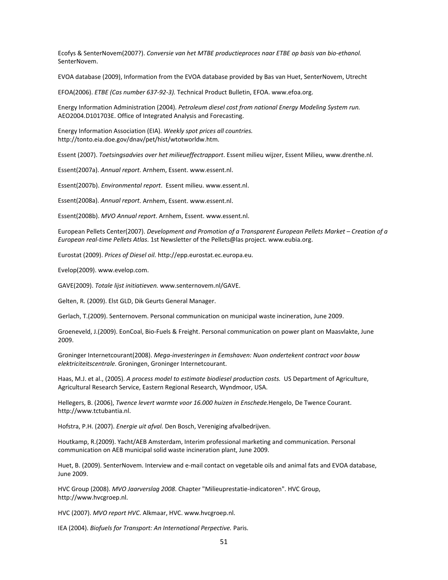Ecofys & SenterNovem(2007?). *Conversie van het MTBE productieproces naar ETBE op basis van bio‐ethanol.* SenterNovem.

EVOA database (2009), Information from the EVOA database provided by Bas van Huet, SenterNovem, Utrecht

EFOA(2006). *ETBE (Cas number 637‐92‐3).* Technical Product Bulletin, EFOA. www.efoa.org.

Energy Information Administration (2004). *Petroleum diesel cost from national Energy Modeling System run.* AEO2004.D101703E. Office of Integrated Analysis and Forecasting.

Energy Information Association (EIA). *Weekly spot prices all countries.* http://tonto.eia.doe.gov/dnav/pet/hist/wtotworldw.htm.

Essent (2007). *Toetsingsadvies over het milieueffectrapport*. Essent milieu wijzer, Essent Milieu, www.drenthe.nl.

Essent(2007a). *Annual report*. Arnhem, Essent. www.essent.nl.

Essent(2007b). *Environmental report*. Essent milieu. www.essent.nl.

Essent(2008a). *Annual report*. Arnhem, Essent. www.essent.nl.

Essent(2008b). *MVO Annual report*. Arnhem, Essent. www.essent.nl.

European Pellets Center(2007). *Development and Promotion of a Transparent European Pellets Market – Creation of a European real‐time Pellets Atlas*. 1st Newsletter of the Pellets@las project. www.eubia.org.

Eurostat (2009). *Prices of Diesel oil.* http://epp.eurostat.ec.europa.eu.

Evelop(2009). www.evelop.com.

GAVE(2009). *Totale lijst initiatieven.* www.senternovem.nl/GAVE.

Gelten, R. (2009). Elst GLD, Dik Geurts General Manager.

Gerlach, T.(2009). Senternovem. Personal communication on municipal waste incineration, June 2009.

Groeneveld, J.(2009). EonCoal, Bio‐Fuels & Freight. Personal communication on power plant on Maasvlakte, June 2009.

Groninger Internetcourant(2008). *Mega‐investeringen in Eemshaven: Nuon ondertekent contract voor bouw elektriciteitscentrale*. Groningen, Groninger Internetcourant.

Haas, M.J. et al., (2005). *A process model to estimate biodiesel production costs.* US Department of Agriculture, Agricultural Research Service, Eastern Regional Research, Wyndmoor, USA.

Hellegers, B. (2006), *Twence levert warmte voor 16.000 huizen in Enschede.*Hengelo, De Twence Courant. http://www.tctubantia.nl.

Hofstra, P.H. (2007). *Energie uit afval.* Den Bosch, Vereniging afvalbedrijven.

Houtkamp, R.(2009). Yacht/AEB Amsterdam, Interim professional marketing and communication. Personal communication on AEB municipal solid waste incineration plant, June 2009.

Huet, B. (2009). SenterNovem. Interview and e-mail contact on vegetable oils and animal fats and EVOA database, June 2009.

HVC Group (2008). *MVO Jaarverslag 2008*. Chapter "Milieuprestatie‐indicatoren". HVC Group, http://www.hvcgroep.nl.

HVC (2007). *MVO report HVC*. Alkmaar, HVC. www.hvcgroep.nl.

IEA (2004). *Biofuels for Transport: An International Perpective.* Paris.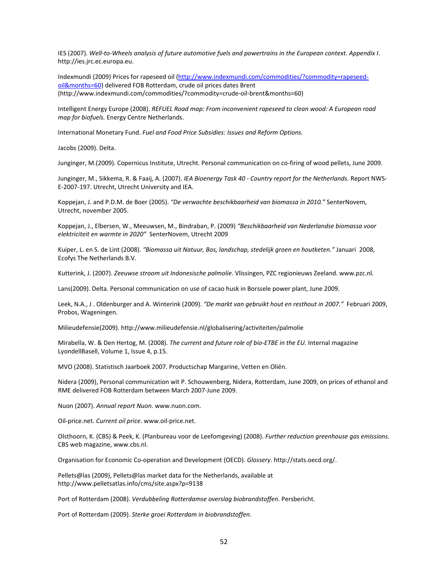IES (2007). Well-to-Wheels analysis of future automotive fuels and powertrains in the European context. Appendix I. http://ies.jrc.ec.europa.eu.

Indexmundi (2009) Prices for rapeseed oil (http://www.indexmundi.com/commodities/?commodity=rapeseedoil&months=60) delivered FOB Rotterdam, crude oil prices dates Brent (http://www.indexmundi.com/commodities/?commodity=crude‐oil‐brent&months=60)

Intelligent Energy Europe (2008). *REFUEL Road map: From inconvenient rapeseed to clean wood: A European road map for biofuels.* Energy Centre Netherlands.

International Monetary Fund. *Fuel and Food Price Subsidies: Issues and Reform Options.*

Jacobs (2009). Delta.

Junginger, M.(2009). Copernicus Institute, Utrecht. Personal communication on co‐firing of wood pellets, June 2009.

Junginger, M., Sikkema, R. & Faaij, A. (2007). *IEA Bioenergy Task 40 ‐ Country report for the Netherlands*. Report NWS‐ E‐2007‐197. Utrecht, Utrecht University and IEA.

Koppejan, J. and P.D.M. de Boer (2005). *"De verwachte beschikbaarheid van biomassa in 2010."* SenterNovem, Utrecht, november 2005.

Koppejan, J., Elbersen, W., Meeuwsen, M., Bindraban, P. (2009) *"Beschikbaarheid van Nederlandse biomassa voor elektriciteit en warmte in 2020"* SenterNovem, Utrecht 2009

Kuiper, L. en S. de Lint (2008). *"Biomassa uit Natuur, Bos, landschap, stedelijk groen en houtketen."* Januari 2008, Ecofys The Netherlands B.V.

Kutterink, J. (2007). *Zeeuwse stroom uit Indonesische palmolie*. Vlissingen, PZC regionieuws Zeeland. www.pzc.nl.

Lans(2009). Delta. Personal communication on use of cacao husk in Borssele power plant, June 2009.

Leek, N.A., J . Oldenburger and A. Winterink (2009). *"De markt van gebruikt hout en resthout in 2007."* Februari 2009, Probos, Wageningen.

Milieudefensie(2009). http://www.milieudefensie.nl/globalisering/activiteiten/palmolie

Mirabella, W. & Den Hertog, M. (2008). *The current and future role of bio‐ETBE in the EU.* Internal magazine LyondellBasell, Volume 1, Issue 4, p.15.

MVO (2008). Statistisch Jaarboek 2007. Productschap Margarine, Vetten en Oliën.

Nidera (2009), Personal communication wit P. Schouwenberg, Nidera, Rotterdam, June 2009, on prices of ethanol and RME delivered FOB Rotterdam between March 2007‐June 2009.

Nuon (2007). *Annual report Nuon*. www.nuon.com.

Oil‐price.net. *Current oil price*. www.oil‐price.net.

Olsthoorn, K. (CBS) & Peek, K. (Planbureau voor de Leefomgeving) (2008). *Further reduction greenhouse gas emissions*. CBS web magazine, www.cbs.nl.

Organisation for Economic Co‐operation and Development (OECD). *Glossery*. http://stats.oecd.org/.

Pellets@las (2009), Pellets@las market data for the Netherlands, available at http://www.pelletsatlas.info/cms/site.aspx?p=9138

Port of Rotterdam (2008). *Verdubbeling Rotterdamse overslag biobrandstoffen*. Persbericht.

Port of Rotterdam (2009). *Sterke groei Rotterdam in biobrandstoffen*.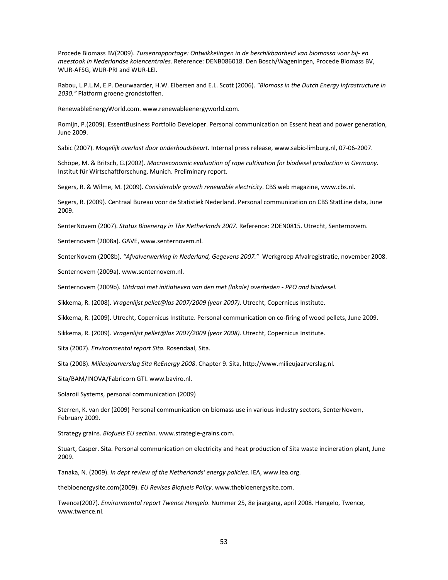Procede Biomass BV(2009). *Tussenrapportage: Ontwikkelingen in de beschikbaarheid van biomassa voor bij‐ en meestook in Nederlandse kolencentrales*. Reference: DENB086018. Den Bosch/Wageningen, Procede Biomass BV, WUR‐AFSG, WUR‐PRI and WUR‐LEI.

Rabou, L.P.L.M, E.P. Deurwaarder, H.W. Elbersen and E.L. Scott (2006). *"Biomass in the Dutch Energy Infrastructure in 2030."* Platform groene grondstoffen.

RenewableEnergyWorld.com. www.renewableenergyworld.com.

Romijn, P.(2009). EssentBusiness Portfolio Developer. Personal communication on Essent heat and power generation, June 2009.

Sabic (2007). *Mogelijk overlast door onderhoudsbeurt.* Internal press release, www.sabic‐limburg.nl, 07‐06‐2007.

Schöpe, M. & Britsch, G.(2002). *Macroeconomic evaluation of rape cultivation for biodiesel production in Germany.* Institut für Wirtschaftforschung, Munich. Preliminary report.

Segers, R. & Wilme, M. (2009). *Considerable growth renewable electricity*. CBS web magazine, www.cbs.nl.

Segers, R. (2009). Centraal Bureau voor de Statistiek Nederland. Personal communication on CBS StatLine data, June 2009.

SenterNovem (2007). *Status Bioenergy in The Netherlands 2007*. Reference: 2DEN0815. Utrecht, Senternovem.

Senternovem (2008a). GAVE, www.senternovem.nl.

SenterNovem (2008b). *"Afvalverwerking in Nederland, Gegevens 2007."* Werkgroep Afvalregistratie, november 2008.

Senternovem (2009a). www.senternovem.nl.

Senternovem (2009b). *Uitdraai met initiatieven van den met (lokale) overheden ‐ PPO and biodiesel.*

Sikkema, R. (2008). *Vragenlijst pellet@las 2007/2009 (year 2007)*. Utrecht, Copernicus Institute.

Sikkema, R. (2009). Utrecht, Copernicus Institute. Personal communication on co-firing of wood pellets, June 2009.

Sikkema, R. (2009). *Vragenlijst pellet@las 2007/2009 (year 2008)*. Utrecht, Copernicus Institute.

Sita (2007). *Environmental report Sita*. Rosendaal, Sita.

Sita (2008). *Milieujaarverslag Sita ReEnergy 2008*. Chapter 9. Sita, http://www.milieujaarverslag.nl.

Sita/BAM/INOVA/Fabricorn GTI. www.baviro.nl.

Solaroil Systems, personal communication (2009)

Sterren, K. van der (2009) Personal communication on biomass use in various industry sectors, SenterNovem, February 2009.

Strategy grains. *Biofuels EU section.* www.strategie‐grains.com.

Stuart, Casper. Sita. Personal communication on electricity and heat production of Sita waste incineration plant, June 2009.

Tanaka, N. (2009). *In dept review of the Netherlands' energy policies*. IEA, www.iea.org.

thebioenergysite.com(2009). *EU Revises Biofuels Policy*. www.thebioenergysite.com.

Twence(2007). *Environmental report Twence Hengelo*. Nummer 25, 8e jaargang, april 2008. Hengelo, Twence, www.twence.nl.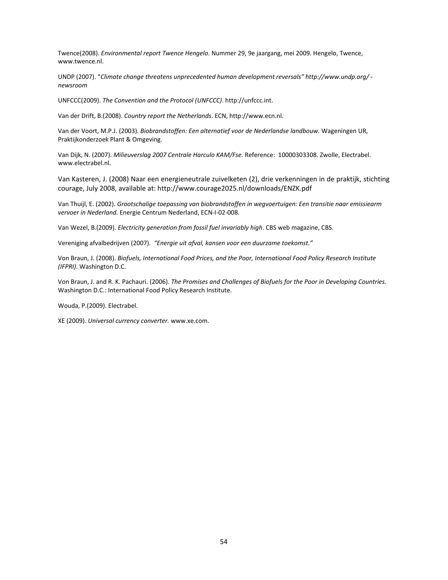Twence(2008). *Environmental report Twence Hengelo*. Nummer 29, 9e jaargang, mei 2009. Hengelo, Twence, www.twence.nl.

UNDP (2007). "*Climate change threatens unprecedented human development reversals" http://www.undp.org/ ‐ newsroom*

UNFCCC(2009). *The Convention and the Protocol (UNFCCC)*. http://unfccc.int.

Van der Drift, B.(2008). *Country report the Netherlands*. ECN, http://www.ecn.nl.

Van der Voort, M.P.J. (2003). *Biobrandstoffen: Een alternatief voor de Nederlandse landbouw.* Wageningen UR, Praktijkonderzoek Plant & Omgeving.

Van Dijk, N. (2007). *Milieuverslag 2007 Centrale Harculo KAM/Fse.* Reference: 10000303308. Zwolle, Electrabel. www.electrabel.nl.

Van Kasteren, J. (2008) Naar een energieneutrale zuivelketen (2), drie verkenningen in de praktijk, stichting courage, July 2008, available at: http://www.courage2025.nl/downloads/ENZK.pdf

Van Thuijl, E. (2002). *Grootschalige toepassing van biobrandstoffen in wegvoertuigen: Een transitie naar emissiearm vervoer in Nederland.* Energie Centrum Nederland, ECN‐I‐02‐008.

Van Wezel, B.(2009). *Electricity generation from fossil fuel invariably high*. CBS web magazine, CBS.

Vereniging afvalbedrijven (2007). *"Energie uit afval, kansen voor een duurzame toekomst."*

Von Braun, J. (2008). *Biofuels, International Food Prices, and the Poor, International Food Policy Research Institute (IFPRI)*. Washington D.C.

Von Braun, J. and R. K. Pachauri. (2006). *The Promises and Challenges of Biofuels for the Poor in Developing Countries.* Washington D.C.: International Food Policy Research Institute.

Wouda, P.(2009). Electrabel.

XE (2009). *Universal currency converter.* www.xe.com.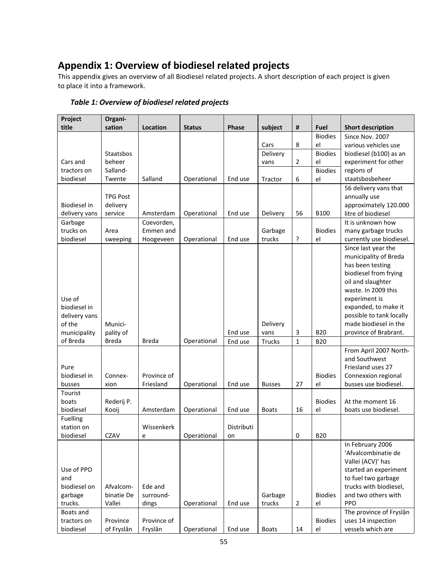## **Appendix 1: Overview of biodiesel related projects**

This appendix gives an overview of all Biodiesel related projects. A short description of each project is given to place it into a framework.

| Project             | Organi-             |              |               |            |               |                  |                      |                                                |
|---------------------|---------------------|--------------|---------------|------------|---------------|------------------|----------------------|------------------------------------------------|
| title               | sation              | Location     | <b>Status</b> | Phase      | subject       | #                | Fuel                 | <b>Short description</b>                       |
|                     |                     |              |               |            | Cars          | 8                | <b>Biodies</b><br>el | Since Nov. 2007                                |
|                     | Staatsbos           |              |               |            | Delivery      |                  | <b>Biodies</b>       | various vehicles use<br>biodiesel (b100) as an |
| Cars and            | beheer              |              |               |            | vans          | 2                | el                   | experiment for other                           |
| tractors on         | Salland-            |              |               |            |               |                  | <b>Biodies</b>       | regions of                                     |
| biodiesel           | Twente              | Salland      | Operational   | End use    | Tractor       | $\boldsymbol{6}$ | el                   | staatsbosbeheer                                |
|                     |                     |              |               |            |               |                  |                      | 56 delivery vans that                          |
|                     | <b>TPG Post</b>     |              |               |            |               |                  |                      | annually use                                   |
| <b>Biodiesel</b> in | delivery            |              |               |            |               |                  |                      | approximately 120.000                          |
| delivery vans       | service             | Amsterdam    | Operational   | End use    | Delivery      | 56               | <b>B100</b>          | litre of biodiesel                             |
| Garbage             |                     | Coevorden,   |               |            |               |                  |                      | It is unknown how                              |
| trucks on           | Area                | Emmen and    |               |            | Garbage       |                  | <b>Biodies</b>       | many garbage trucks                            |
| biodiesel           | sweeping            | Hoogeveen    | Operational   | End use    | trucks        | ŗ                | el                   | currently use biodiesel.                       |
|                     |                     |              |               |            |               |                  |                      | Since last year the                            |
|                     |                     |              |               |            |               |                  |                      | municipality of Breda                          |
|                     |                     |              |               |            |               |                  |                      | has been testing<br>biodiesel from frying      |
|                     |                     |              |               |            |               |                  |                      | oil and slaughter                              |
|                     |                     |              |               |            |               |                  |                      | waste. In 2009 this                            |
| Use of              |                     |              |               |            |               |                  |                      | experiment is                                  |
| biodiesel in        |                     |              |               |            |               |                  |                      | expanded, to make it                           |
| delivery vans       |                     |              |               |            |               |                  |                      | possible to tank locally                       |
| of the              | Munici-             |              |               |            | Delivery      |                  |                      | made biodiesel in the                          |
| municipality        | pality of           |              |               | End use    | vans          | 3                | <b>B20</b>           | province of Brabrant.                          |
| of Breda            | <b>Breda</b>        | <b>Breda</b> | Operational   | End use    | <b>Trucks</b> | $\mathbf{1}$     | <b>B20</b>           |                                                |
|                     |                     |              |               |            |               |                  |                      | From April 2007 North-                         |
|                     |                     |              |               |            |               |                  |                      | and Southwest                                  |
| Pure                |                     |              |               |            |               |                  |                      | Friesland uses 27                              |
| biodiesel in        | Connex-             | Province of  |               |            |               |                  | <b>Biodies</b>       | Connexxion regional                            |
| busses              | xion                | Friesland    | Operational   | End use    | <b>Busses</b> | 27               | el                   | busses use biodiesel.                          |
| Tourist<br>boats    |                     |              |               |            |               |                  | <b>Biodies</b>       | At the moment 16                               |
| biodiesel           | Rederij P.<br>Kooij | Amsterdam    | Operational   | End use    | <b>Boats</b>  | 16               | el                   | boats use biodiesel.                           |
| Fuelling            |                     |              |               |            |               |                  |                      |                                                |
| station on          |                     | Wissenkerk   |               | Distributi |               |                  |                      |                                                |
| biodiesel           | <b>CZAV</b>         | е            | Operational   | on         |               | 0                | <b>B20</b>           |                                                |
|                     |                     |              |               |            |               |                  |                      | In February 2006                               |
|                     |                     |              |               |            |               |                  |                      | 'Afvalcombinatie de                            |
|                     |                     |              |               |            |               |                  |                      | Vallei (ACV)' has                              |
| Use of PPO          |                     |              |               |            |               |                  |                      | started an experiment                          |
| and                 |                     |              |               |            |               |                  |                      | to fuel two garbage                            |
| biodiesel on        | Afvalcom-           | Ede and      |               |            |               |                  |                      | trucks with biodiesel,                         |
| garbage             | binatie De          | surround-    |               |            | Garbage       |                  | <b>Biodies</b>       | and two others with                            |
| trucks.             | Vallei              | dings        | Operational   | End use    | trucks        | $\overline{2}$   | el                   | PPO                                            |
| Boats and           |                     |              |               |            |               |                  |                      | The province of Fryslân                        |
| tractors on         | Province            | Province of  |               |            |               |                  | <b>Biodies</b>       | uses 14 inspection                             |
| biodiesel           | of Fryslân          | Fryslân      | Operational   | End use    | <b>Boats</b>  | 14               | el                   | vessels which are                              |

*Table 1: Overview of biodiesel related projects*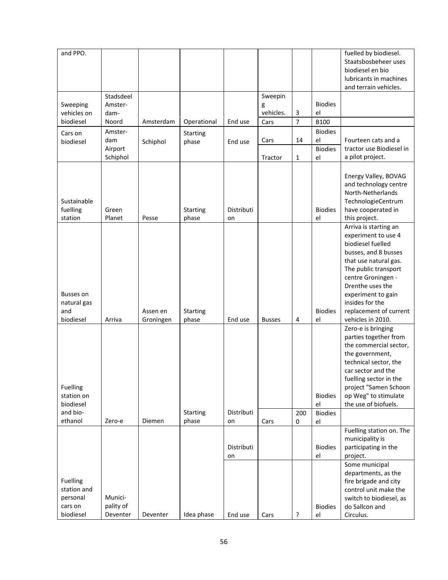| and PPO.                                                                            |                                  |                       |                          |                  |               |                |                                              | fuelled by biodiesel.<br>Staatsbosbeheer uses<br>biodiesel en bio<br>lubricants in machines                                                                                                                                                                                                                                                                                                                                                                                                       |
|-------------------------------------------------------------------------------------|----------------------------------|-----------------------|--------------------------|------------------|---------------|----------------|----------------------------------------------|---------------------------------------------------------------------------------------------------------------------------------------------------------------------------------------------------------------------------------------------------------------------------------------------------------------------------------------------------------------------------------------------------------------------------------------------------------------------------------------------------|
|                                                                                     | Stadsdeel                        |                       |                          |                  | Sweepin       |                |                                              | and terrain vehicles.                                                                                                                                                                                                                                                                                                                                                                                                                                                                             |
| Sweeping                                                                            | Amster-                          |                       |                          |                  | g             |                | <b>Biodies</b>                               |                                                                                                                                                                                                                                                                                                                                                                                                                                                                                                   |
| vehicles on                                                                         | dam-                             |                       |                          |                  | vehicles.     | 3              | el                                           |                                                                                                                                                                                                                                                                                                                                                                                                                                                                                                   |
| biodiesel                                                                           | Noord                            | Amsterdam             | Operational              | End use          | Cars          | $\overline{7}$ | <b>B100</b>                                  |                                                                                                                                                                                                                                                                                                                                                                                                                                                                                                   |
| Cars on                                                                             | Amster-                          |                       | <b>Starting</b>          |                  |               |                | <b>Biodies</b>                               |                                                                                                                                                                                                                                                                                                                                                                                                                                                                                                   |
| biodiesel                                                                           | dam                              | Schiphol              | phase                    | End use          | Cars          | 14             | el                                           | Fourteen cats and a                                                                                                                                                                                                                                                                                                                                                                                                                                                                               |
|                                                                                     | Airport                          |                       |                          |                  |               |                | <b>Biodies</b>                               | tractor use Biodiesel in                                                                                                                                                                                                                                                                                                                                                                                                                                                                          |
|                                                                                     | Schiphol                         |                       |                          |                  | Tractor       | 1              | el                                           | a pilot project.                                                                                                                                                                                                                                                                                                                                                                                                                                                                                  |
| Sustainable<br>fuelling<br>station                                                  | Green<br>Planet                  | Pesse                 | <b>Starting</b><br>phase | Distributi<br>on |               |                | <b>Biodies</b><br>el                         | Energy Valley, BOVAG<br>and technology centre<br>North-Netherlands<br>TechnologieCentrum<br>have cooperated in<br>this project.                                                                                                                                                                                                                                                                                                                                                                   |
|                                                                                     |                                  |                       |                          |                  |               |                |                                              | Arriva is starting an                                                                                                                                                                                                                                                                                                                                                                                                                                                                             |
| Busses on<br>natural gas<br>and<br>biodiesel<br>Fuelling<br>station on<br>biodiesel | Arriva                           | Assen en<br>Groningen | <b>Starting</b><br>phase | End use          | <b>Busses</b> | 4              | <b>Biodies</b><br>el<br><b>Biodies</b><br>el | experiment to use 4<br>biodiesel fuelled<br>busses, and 8 busses<br>that use natural gas.<br>The public transport<br>centre Groningen -<br>Drenthe uses the<br>experiment to gain<br>insides for the<br>replacement of current<br>vehicles in 2010.<br>Zero-e is bringing<br>parties together from<br>the commercial sector,<br>the government,<br>technical sector, the<br>car sector and the<br>fuelling sector in the<br>project "Samen Schoon<br>op Weg" to stimulate<br>the use of biofuels. |
| and bio-                                                                            |                                  |                       | <b>Starting</b>          | Distributi       |               | 200            | <b>Biodies</b>                               |                                                                                                                                                                                                                                                                                                                                                                                                                                                                                                   |
| ethanol                                                                             | Zero-e                           | Diemen                | phase                    | on               | Cars          | 0              | el                                           |                                                                                                                                                                                                                                                                                                                                                                                                                                                                                                   |
|                                                                                     |                                  |                       |                          | Distributi<br>on |               |                | <b>Biodies</b><br>el                         | Fuelling station on. The<br>municipality is<br>participating in the<br>project.                                                                                                                                                                                                                                                                                                                                                                                                                   |
| Fuelling<br>station and<br>personal<br>cars on<br>biodiesel                         | Munici-<br>pality of<br>Deventer | Deventer              | Idea phase               | End use          | Cars          | ?              | <b>Biodies</b><br>el                         | Some municipal<br>departments, as the<br>fire brigade and city<br>control unit make the<br>switch to biodiesel, as<br>do Sallcon and<br>Circulus.                                                                                                                                                                                                                                                                                                                                                 |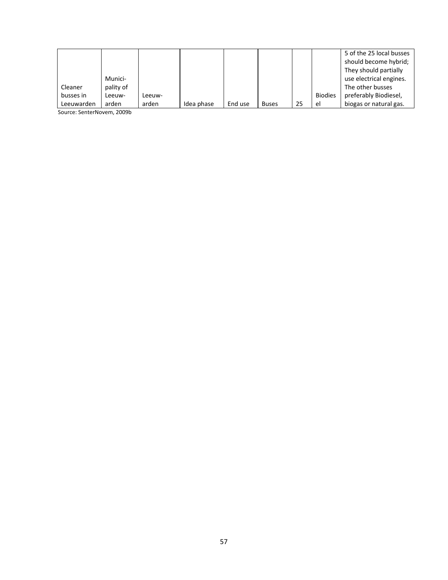|            |           |        |            |         |              |    |                | 5 of the 25 local busses |
|------------|-----------|--------|------------|---------|--------------|----|----------------|--------------------------|
|            |           |        |            |         |              |    |                | should become hybrid;    |
|            |           |        |            |         |              |    |                | They should partially    |
|            | Munici-   |        |            |         |              |    |                | use electrical engines.  |
| Cleaner    | pality of |        |            |         |              |    |                | The other busses         |
| busses in  | Leeuw-    | Leeuw- |            |         |              |    | <b>Biodies</b> | preferably Biodiesel,    |
| Leeuwarden | arden     | arden  | Idea phase | End use | <b>Buses</b> | 25 | el             | biogas or natural gas.   |

Source: SenterNovem, 2009b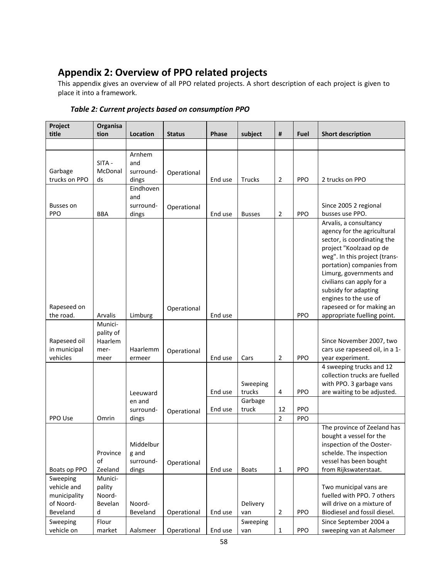# **Appendix 2: Overview of PPO related projects**

This appendix gives an overview of all PPO related projects. A short description of each project is given to place it into a framework.

| Project<br>title                         | Organisa<br>tion                     | Location                                 | <b>Status</b> | Phase   | subject            | #              | Fuel | <b>Short description</b>                                                                                                                                                                                                                                                                                                                           |
|------------------------------------------|--------------------------------------|------------------------------------------|---------------|---------|--------------------|----------------|------|----------------------------------------------------------------------------------------------------------------------------------------------------------------------------------------------------------------------------------------------------------------------------------------------------------------------------------------------------|
|                                          |                                      |                                          |               |         |                    |                |      |                                                                                                                                                                                                                                                                                                                                                    |
| Garbage<br>trucks on PPO                 | SITA -<br>McDonal<br>ds              | Arnhem<br>and<br>surround-<br>dings      | Operational   | End use | Trucks             | $\overline{2}$ | PPO  | 2 trucks on PPO                                                                                                                                                                                                                                                                                                                                    |
| Busses on<br><b>PPO</b>                  | <b>BBA</b>                           | Eindhoven<br>and<br>surround-<br>dings   | Operational   | End use | <b>Busses</b>      | $\overline{2}$ | PPO  | Since 2005 2 regional<br>busses use PPO.                                                                                                                                                                                                                                                                                                           |
| Rapeseed on<br>the road.                 | Arvalis                              | Limburg                                  | Operational   | End use |                    |                | PPO  | Arvalis, a consultancy<br>agency for the agricultural<br>sector, is coordinating the<br>project "Koolzaad op de<br>weg". In this project (trans-<br>portation) companies from<br>Limurg, governments and<br>civilians can apply for a<br>subsidy for adapting<br>engines to the use of<br>rapeseed or for making an<br>appropriate fuelling point. |
|                                          | Munici-                              |                                          |               |         |                    |                |      |                                                                                                                                                                                                                                                                                                                                                    |
| Rapeseed oil<br>in municipal<br>vehicles | pality of<br>Haarlem<br>mer-<br>meer | Haarlemm<br>ermeer                       | Operational   | End use | Cars               | 2              | PPO  | Since November 2007, two<br>cars use rapeseed oil, in a 1-<br>year experiment.                                                                                                                                                                                                                                                                     |
|                                          |                                      | Leeuward                                 |               | End use | Sweeping<br>trucks | 4              | PPO  | 4 sweeping trucks and 12<br>collection trucks are fuelled<br>with PPO. 3 garbage vans<br>are waiting to be adjusted.                                                                                                                                                                                                                               |
|                                          |                                      | en and                                   |               |         | Garbage            |                |      |                                                                                                                                                                                                                                                                                                                                                    |
|                                          |                                      | surround-                                | Operational   | End use | truck              | 12             | PPO  |                                                                                                                                                                                                                                                                                                                                                    |
| PPO Use                                  | Omrin                                | dings                                    |               |         |                    | $\overline{2}$ | PPO  |                                                                                                                                                                                                                                                                                                                                                    |
| Boats op PPO                             | Province<br>of<br>Zeeland            | Middelbur<br>g and<br>surround-<br>dings | Operational   | End use | <b>Boats</b>       | 1              | PPO  | The province of Zeeland has<br>bought a vessel for the<br>inspection of the Ooster-<br>schelde. The inspection<br>vessel has been bought<br>from Rijkswaterstaat.                                                                                                                                                                                  |
| Sweeping                                 | Munici-                              |                                          |               |         |                    |                |      |                                                                                                                                                                                                                                                                                                                                                    |
| vehicle and<br>municipality              | pality<br>Noord-                     |                                          |               |         |                    |                |      | Two municipal vans are<br>fuelled with PPO. 7 others                                                                                                                                                                                                                                                                                               |
| of Noord-<br>Beveland                    | Bevelan<br>d                         | Noord-<br>Beveland                       | Operational   | End use | Delivery<br>van    | $\overline{2}$ | PPO  | will drive on a mixture of<br>Biodiesel and fossil diesel.                                                                                                                                                                                                                                                                                         |
| Sweeping                                 | Flour                                |                                          |               |         | Sweeping           |                |      | Since September 2004 a                                                                                                                                                                                                                                                                                                                             |
| vehicle on                               | market                               | Aalsmeer                                 | Operational   | End use | van                | $\mathbf{1}$   | PPO  | sweeping van at Aalsmeer                                                                                                                                                                                                                                                                                                                           |

## *Table 2: Current projects based on consumption PPO*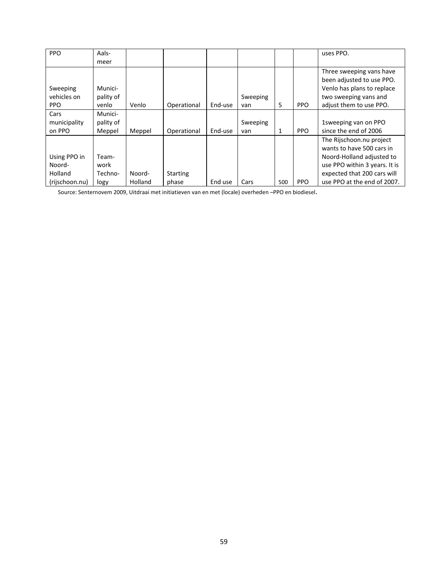| <b>PPO</b>     | Aals-     |         |                 |         |          |     |            | uses PPO.                     |
|----------------|-----------|---------|-----------------|---------|----------|-----|------------|-------------------------------|
|                | meer      |         |                 |         |          |     |            |                               |
|                |           |         |                 |         |          |     |            | Three sweeping vans have      |
|                |           |         |                 |         |          |     |            | been adjusted to use PPO.     |
| Sweeping       | Munici-   |         |                 |         |          |     |            | Venlo has plans to replace    |
| vehicles on    | pality of |         |                 |         | Sweeping |     |            | two sweeping vans and         |
| <b>PPO</b>     | venlo     | Venlo   | Operational     | End-use | van      | 5   | <b>PPO</b> | adjust them to use PPO.       |
| Cars           | Munici-   |         |                 |         |          |     |            |                               |
| municipality   | pality of |         |                 |         | Sweeping |     |            | 1sweeping van on PPO          |
| on PPO         | Meppel    | Meppel  | Operational     | End-use | van      | 1   | <b>PPO</b> | since the end of 2006         |
|                |           |         |                 |         |          |     |            | The Rijschoon.nu project      |
|                |           |         |                 |         |          |     |            | wants to have 500 cars in     |
| Using PPO in   | Team-     |         |                 |         |          |     |            | Noord-Holland adjusted to     |
| Noord-         | work      |         |                 |         |          |     |            | use PPO within 3 years. It is |
| Holland        | Techno-   | Noord-  | <b>Starting</b> |         |          |     |            | expected that 200 cars will   |
| (rijschoon.nu) | logy      | Holland | phase           | End use | Cars     | 500 | <b>PPO</b> | use PPO at the end of 2007.   |

Source: Senternovem 2009, Uitdraai met initiatieven van en met (locale) overheden –PPO en biodiesel.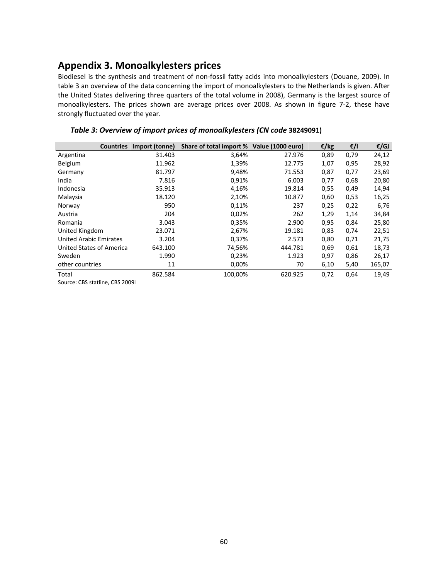## **Appendix 3. Monoalkylesters prices**

Biodiesel is the synthesis and treatment of non‐fossil fatty acids into monoalkylesters (Douane, 2009). In table 3 an overview of the data concerning the import of monoalkylesters to the Netherlands is given. After the United States delivering three quarters of the total volume in 2008), Germany is the largest source of monoalkylesters. The prices shown are average prices over 2008. As shown in figure 7‐2, these have strongly fluctuated over the year.

| <b>Countries</b>                | Import (tonne) | Share of total import % Value (1000 euro) |         | €/kg | €/l  | $\epsilon$ /GJ |
|---------------------------------|----------------|-------------------------------------------|---------|------|------|----------------|
| Argentina                       | 31.403         | 3,64%                                     | 27.976  | 0,89 | 0,79 | 24,12          |
| Belgium                         | 11.962         | 1,39%                                     | 12.775  | 1,07 | 0,95 | 28,92          |
| Germany                         | 81.797         | 9,48%                                     | 71.553  | 0,87 | 0,77 | 23,69          |
| India                           | 7.816          | 0,91%                                     | 6.003   | 0,77 | 0,68 | 20,80          |
| Indonesia                       | 35.913         | 4,16%                                     | 19.814  | 0,55 | 0,49 | 14,94          |
| Malaysia                        | 18.120         | 2,10%                                     | 10.877  | 0,60 | 0,53 | 16,25          |
| Norway                          | 950            | 0,11%                                     | 237     | 0,25 | 0,22 | 6,76           |
| Austria                         | 204            | 0,02%                                     | 262     | 1,29 | 1,14 | 34,84          |
| Romania                         | 3.043          | 0,35%                                     | 2.900   | 0,95 | 0,84 | 25,80          |
| United Kingdom                  | 23.071         | 2,67%                                     | 19.181  | 0,83 | 0,74 | 22,51          |
| <b>United Arabic Emirates</b>   | 3.204          | 0,37%                                     | 2.573   | 0,80 | 0,71 | 21,75          |
| <b>United States of America</b> | 643.100        | 74,56%                                    | 444.781 | 0,69 | 0,61 | 18,73          |
| Sweden                          | 1.990          | 0,23%                                     | 1.923   | 0,97 | 0,86 | 26,17          |
| other countries                 | 11             | 0,00%                                     | 70      | 6,10 | 5,40 | 165,07         |
| Total                           | 862.584        | 100,00%                                   | 620.925 | 0,72 | 0,64 | 19,49          |

### *Table 3: Overview of import prices of monoalkylesters (CN code* **38249091)**

Source: CBS statline, CBS 2009l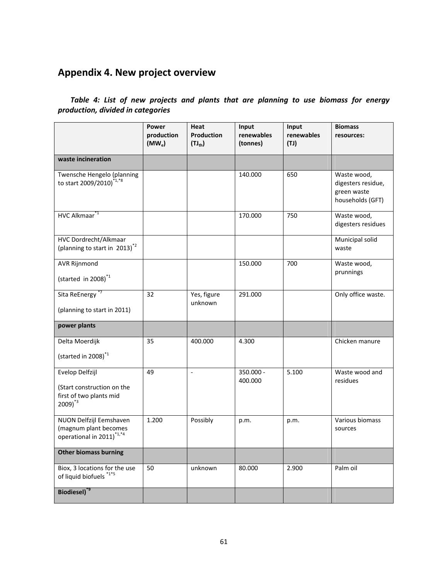# **Appendix 4. New project overview**

## *Table 4: List of new projects and plants that are planning to use biomass for energy production, divided in categories*

|                                                                                           | Power<br>production<br>$(MW_e)$ | Heat<br><b>Production</b><br>$(TJ_{th})$ | Input<br>renewables<br>(tonnes) | Input<br>renewables<br>(TJ) | <b>Biomass</b><br>resources:                                         |
|-------------------------------------------------------------------------------------------|---------------------------------|------------------------------------------|---------------------------------|-----------------------------|----------------------------------------------------------------------|
| waste incineration                                                                        |                                 |                                          |                                 |                             |                                                                      |
| Twensche Hengelo (planning<br>to start 2009/2010) <sup>*1,*8</sup>                        |                                 |                                          | 140.000                         | 650                         | Waste wood,<br>digesters residue,<br>green waste<br>households (GFT) |
| HVC Alkmaar <sup>*1</sup>                                                                 |                                 |                                          | 170.000                         | 750                         | Waste wood,<br>digesters residues                                    |
| HVC Dordrecht/Alkmaar<br>(planning to start in 2013) <sup>*2</sup>                        |                                 |                                          |                                 |                             | Municipal solid<br>waste                                             |
| <b>AVR Rijnmond</b><br>(started in 2008) $1$                                              |                                 |                                          | 150.000                         | 700                         | Waste wood,<br>prunnings                                             |
| Sita ReEnergy <sup>*7</sup><br>(planning to start in 2011)                                | 32                              | Yes, figure<br>unknown                   | 291.000                         |                             | Only office waste.                                                   |
| power plants                                                                              |                                 |                                          |                                 |                             |                                                                      |
| Delta Moerdijk<br>(started in 2008) <sup>*1</sup>                                         | 35                              | 400.000                                  | 4.300                           |                             | Chicken manure                                                       |
| Evelop Delfzijl<br>(Start construction on the<br>first of two plants mid<br>$2009)^{*3}$  | 49                              | $\overline{\phantom{a}}$                 | 350.000 -<br>400.000            | 5.100                       | Waste wood and<br>residues                                           |
| NUON Delfzijl Eemshaven<br>(magnum plant becomes<br>operational in 2011) <sup>*1,*4</sup> | 1.200                           | Possibly                                 | p.m.                            | p.m.                        | Various biomass<br>sources                                           |
| <b>Other biomass burning</b>                                                              |                                 |                                          |                                 |                             |                                                                      |
| Biox, 3 locations for the use<br>of liquid biofuels *1*5                                  | 50                              | unknown                                  | 80.000                          | 2.900                       | Palm oil                                                             |
| Biodiesel) <sup>*9</sup>                                                                  |                                 |                                          |                                 |                             |                                                                      |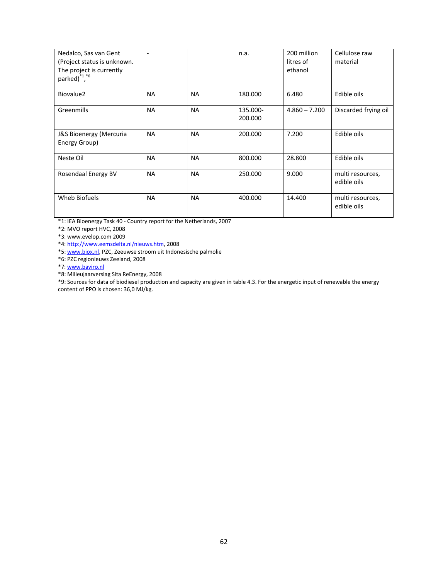| Nedalco, Sas van Gent<br>(Project status is unknown.<br>The project is currently<br>parked) <sup>*1</sup> ,*6 | $\overline{\phantom{a}}$ |           | n.a.                | 200 million<br>litres of<br>ethanol | Cellulose raw<br>material       |
|---------------------------------------------------------------------------------------------------------------|--------------------------|-----------|---------------------|-------------------------------------|---------------------------------|
| Biovalue2                                                                                                     | <b>NA</b>                | <b>NA</b> | 180.000             | 6.480                               | Edible oils                     |
| Greenmills                                                                                                    | <b>NA</b>                | <b>NA</b> | 135.000-<br>200.000 | $4.860 - 7.200$                     | Discarded frying oil            |
| J&S Bioenergy (Mercuria<br>Energy Group)                                                                      | <b>NA</b>                | <b>NA</b> | 200.000             | 7.200                               | Edible oils                     |
| Neste Oil                                                                                                     | <b>NA</b>                | <b>NA</b> | 800.000             | 28.800                              | Edible oils                     |
| Rosendaal Energy BV                                                                                           | <b>NA</b>                | <b>NA</b> | 250.000             | 9.000                               | multi resources,<br>edible oils |
| Wheb Biofuels                                                                                                 | <b>NA</b>                | <b>NA</b> | 400.000             | 14.400                              | multi resources,<br>edible oils |

\*1: IEA Bioenergy Task 40 ‐ Country report for the Netherlands, 2007

\*2: MVO report HVC, 2008

\*3: www.evelop.com 2009

\*4: http://www.eemsdelta.nl/nieuws.htm, 2008

\*5: www.biox.nl, PZC, Zeeuwse stroom uit Indonesische palmolie

\*6: PZC regionieuws Zeeland, 2008

\*7: www.baviro.nl

\*8: Milieujaarverslag Sita ReEnergy, 2008

\*9: Sources for data of biodiesel production and capacity are given in table 4.3. For the energetic input of renewable the energy content of PPO is chosen: 36,0 MJ/kg.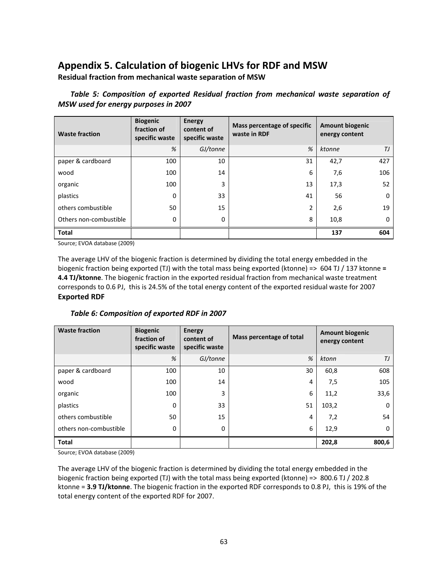## **Appendix 5. Calculation of biogenic LHVs for RDF and MSW**

**Residual fraction from mechanical waste separation of MSW** 

| <b>Waste fraction</b>  | <b>Biogenic</b><br>fraction of<br>specific waste | <b>Energy</b><br>content of<br>specific waste | Mass percentage of specific<br>waste in RDF | <b>Amount biogenic</b><br>energy content |          |
|------------------------|--------------------------------------------------|-----------------------------------------------|---------------------------------------------|------------------------------------------|----------|
|                        | %                                                | GJ/tonne                                      | %                                           | ktonne                                   | ТJ       |
| paper & cardboard      | 100                                              | 10                                            | 31                                          | 42,7                                     | 427      |
| wood                   | 100                                              | 14                                            | 6                                           | 7,6                                      | 106      |
| organic                | 100                                              | 3                                             | 13                                          | 17,3                                     | 52       |
| plastics               | 0                                                | 33                                            | 41                                          | 56                                       | $\Omega$ |
| others combustible     | 50                                               | 15                                            | 2                                           | 2,6                                      | 19       |
| Others non-combustible | 0                                                | 0                                             | 8                                           | 10,8                                     | $\Omega$ |
| <b>Total</b>           |                                                  |                                               |                                             | 137                                      | 604      |

*Table 5: Composition of exported Residual fraction from mechanical waste separation of MSW used for energy purposes in 2007* 

Source; EVOA database (2009)

The average LHV of the biogenic fraction is determined by dividing the total energy embedded in the biogenic fraction being exported (TJ) with the total mass being exported (ktonne) => 604 TJ / 137 ktonne **= 4.4 TJ/ktonne**. The biogenic fraction in the exported residual fraction from mechanical waste treatment corresponds to 0.6 PJ, this is 24.5% of the total energy content of the exported residual waste for 2007 **Exported RDF** 

### *Table 6: Composition of exported RDF in 2007*

| <b>Waste fraction</b>  | <b>Biogenic</b><br>fraction of<br>specific waste | <b>Energy</b><br>content of<br>specific waste | Mass percentage of total | <b>Amount biogenic</b><br>energy content |          |
|------------------------|--------------------------------------------------|-----------------------------------------------|--------------------------|------------------------------------------|----------|
|                        | %                                                | GJ/tonne                                      | %                        | ktonn                                    | ТJ       |
| paper & cardboard      | 100                                              | 10                                            | 30                       | 60,8                                     | 608      |
| wood                   | 100                                              | 14                                            | 4                        | 7,5                                      | 105      |
| organic                | 100                                              | 3                                             | 6                        | 11,2                                     | 33,6     |
| plastics               | 0                                                | 33                                            | 51                       | 103,2                                    | $\Omega$ |
| others combustible     | 50                                               | 15                                            | 4                        | 7,2                                      | 54       |
| others non-combustible | 0                                                | 0                                             | 6                        | 12,9                                     | $\Omega$ |
| <b>Total</b>           |                                                  |                                               |                          | 202,8                                    | 800,6    |

Source; EVOA database (2009)

The average LHV of the biogenic fraction is determined by dividing the total energy embedded in the biogenic fraction being exported (TJ) with the total mass being exported (ktonne) => 800.6 TJ / 202.8 ktonne = **3.9 TJ/ktonne**. The biogenic fraction in the exported RDF corresponds to 0.8 PJ, this is 19% of the total energy content of the exported RDF for 2007.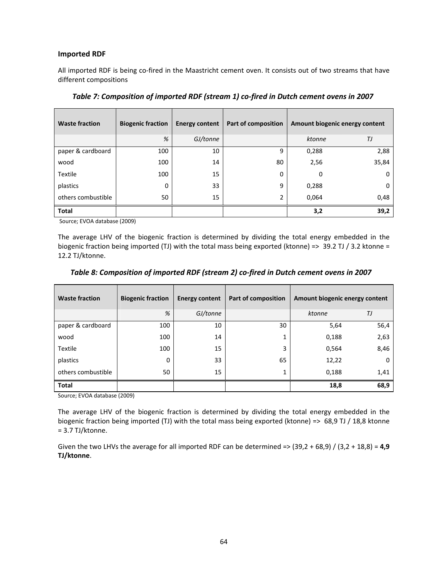### **Imported RDF**

All imported RDF is being co‐fired in the Maastricht cement oven. It consists out of two streams that have different compositions

| <b>Waste fraction</b> | <b>Biogenic fraction</b> | <b>Energy content</b> | Part of composition | Amount biogenic energy content |          |
|-----------------------|--------------------------|-----------------------|---------------------|--------------------------------|----------|
|                       | %                        | GJ/tonne              |                     | ktonne                         | ТJ       |
| paper & cardboard     | 100                      | 10                    | 9                   | 0,288                          | 2,88     |
| wood                  | 100                      | 14                    | 80                  | 2,56                           | 35,84    |
| Textile               | 100                      | 15                    | 0                   | 0                              | $\Omega$ |
| plastics              | 0                        | 33                    | 9                   | 0,288                          | $\Omega$ |
| others combustible    | 50                       | 15                    | 2                   | 0,064                          | 0,48     |
| <b>Total</b>          |                          |                       |                     | 3,2                            | 39,2     |

*Table 7: Composition of imported RDF (stream 1) co‐fired in Dutch cement ovens in 2007*

Source; EVOA database (2009)

The average LHV of the biogenic fraction is determined by dividing the total energy embedded in the biogenic fraction being imported (TJ) with the total mass being exported (ktonne) => 39.2 TJ / 3.2 ktonne = 12.2 TJ/ktonne.

| <b>Waste fraction</b> | <b>Biogenic fraction</b> | <b>Energy content</b> | Part of composition | Amount biogenic energy content |          |
|-----------------------|--------------------------|-----------------------|---------------------|--------------------------------|----------|
|                       | %                        | GJ/tonne              |                     | ktonne                         | TJ       |
| paper & cardboard     | 100                      | 10                    | 30                  | 5,64                           | 56,4     |
| wood                  | 100                      | 14                    |                     | 0,188                          | 2,63     |
| <b>Textile</b>        | 100                      | 15                    | 3                   | 0,564                          | 8,46     |
| plastics              | 0                        | 33                    | 65                  | 12,22                          | $\Omega$ |
| others combustible    | 50                       | 15                    |                     | 0,188                          | 1,41     |
| <b>Total</b>          |                          |                       |                     | 18,8                           | 68,9     |

### *Table 8: Composition of imported RDF (stream 2) co‐fired in Dutch cement ovens in 2007*

Source; EVOA database (2009)

The average LHV of the biogenic fraction is determined by dividing the total energy embedded in the biogenic fraction being imported (TJ) with the total mass being exported (ktonne) => 68,9 TJ / 18,8 ktonne = 3.7 TJ/ktonne.

Given the two LHVs the average for all imported RDF can be determined => (39,2 + 68,9) / (3,2 + 18,8) = **4,9 TJ/ktonne**.